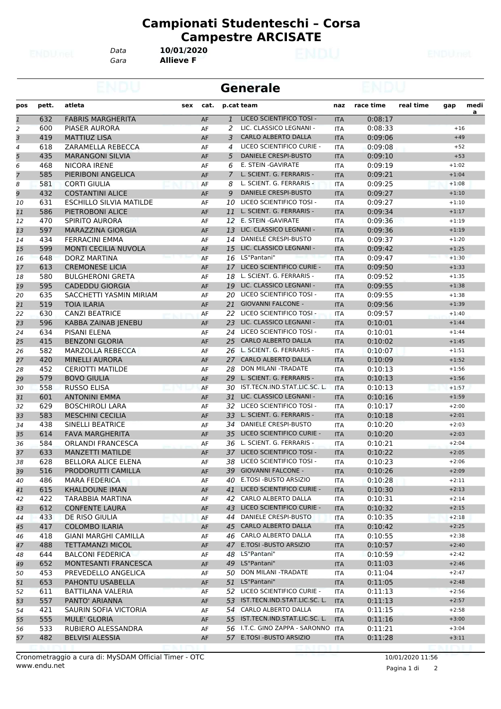*Gara* **Allieve F** *Data* **10/01/2020**

|                |       |                                |     |      |              | <b>Generale</b>                    |            |           |           |         |           |
|----------------|-------|--------------------------------|-----|------|--------------|------------------------------------|------------|-----------|-----------|---------|-----------|
| pos            | pett. | atleta                         | sex | cat. |              | p.cat team                         | naz        | race time | real time | gap     | medi<br>a |
| $\mathbf{1}$   | 632   | <b>FABRIS MARGHERITA</b>       |     | AF   | $\mathbf{1}$ | LICEO SCIENTIFICO TOSI -           | <b>ITA</b> | 0:08:17   |           |         |           |
| $\overline{2}$ | 600   | PIASER AURORA                  |     | AF   | 2            | LIC. CLASSICO LEGNANI -            | <b>ITA</b> | 0:08:33   |           | $+16$   |           |
| 3              | 419   | <b>MATTIUZ LISA</b>            |     | AF   | 3            | <b>CARLO ALBERTO DALLA</b>         | <b>ITA</b> | 0:09:06   |           | $+49$   |           |
| 4              | 618   | ZARAMELLA REBECCA              |     | AF   | 4            | LICEO SCIENTIFICO CURIE -          | <b>ITA</b> | 0:09:08   |           | $+52$   |           |
| 5              | 435   | <b>MARANGONI SILVIA</b>        |     | AF   | 5            | <b>DANIELE CRESPI-BUSTO</b>        | <b>ITA</b> | 0:09:10   |           | $+53$   |           |
| 6              | 468   | <b>NICORA IRENE</b>            |     | AF   | 6            | E. STEIN - GAVIRATE                | <b>ITA</b> | 0:09:19   |           | $+1:02$ |           |
| $\overline{7}$ | 585   | PIERIBONI ANGELICA             |     | AF   | 7            | L. SCIENT. G. FERRARIS -           | <b>ITA</b> | 0:09:21   |           | $+1:04$ |           |
| 8              | 581   | <b>CORTI GIULIA</b>            |     | AF   | 8            | L. SCIENT. G. FERRARIS -           | <b>ITA</b> | 0:09:25   |           | $+1:08$ |           |
| 9              | 432   | <b>COSTANTINI ALICE</b>        |     | AF   | 9            | <b>DANIELE CRESPI-BUSTO</b>        | <b>ITA</b> | 0:09:27   |           | $+1:10$ |           |
| 10             | 631   | <b>ESCHILLO SILVIA MATILDE</b> |     | AF   | 10           | LICEO SCIENTIFICO TOSI -           | <b>ITA</b> | 0:09:27   |           | $+1:10$ |           |
| 11             | 586   | PIETROBONI ALICE               |     | AF   | 11           | L. SCIENT. G. FERRARIS -           | <b>ITA</b> | 0:09:34   |           | $+1:17$ |           |
| 12             | 470   | SPIRITO AURORA                 |     | AF   | 12           | E. STEIN - GAVIRATE                | <b>ITA</b> | 0:09:36   |           | $+1:19$ |           |
| 13             | 597   | <b>MARAZZINA GIORGIA</b>       |     | AF   | 13           | LIC. CLASSICO LEGNANI -            | <b>ITA</b> | 0:09:36   |           | $+1:19$ |           |
| 14             | 434   | <b>FERRACINI EMMA</b>          |     | AF   | 14           | DANIELE CRESPI-BUSTO               | <b>ITA</b> | 0:09:37   |           | $+1:20$ |           |
| 15             | 599   | MONTI CECILIA NUVOLA           |     | AF   | 15           | LIC. CLASSICO LEGNANI -            | <b>ITA</b> | 0:09:42   |           | $+1:25$ |           |
| 16             | 648   | <b>DORZ MARTINA</b>            |     | AF   |              | 16 LS"Pantani"                     | <b>ITA</b> | 0:09:47   |           | $+1:30$ |           |
| 17             | 613   | <b>CREMONESE LICIA</b>         |     | AF   |              | 17 LICEO SCIENTIFICO CURIE -       | <b>ITA</b> | 0:09:50   |           | $+1:33$ |           |
| 18             | 580   | <b>BULGHERONI GRETA</b>        |     | AF   | 18           | L. SCIENT. G. FERRARIS -           | <b>ITA</b> | 0:09:52   |           | $+1:35$ |           |
| 19             | 595   | <b>CADEDDU GIORGIA</b>         |     | AF   | 19           | LIC. CLASSICO LEGNANI -            | <b>ITA</b> | 0:09:55   |           | $+1:38$ |           |
| 20             | 635   | SACCHETTI YASMIN MIRIAM        |     | AF   | 20           | LICEO SCIENTIFICO TOSI -           | <b>ITA</b> | 0:09:55   |           | $+1:38$ |           |
| 21             | 519   | <b>TOIA ILARIA</b>             |     | AF   | 21           | <b>GIOVANNI FALCONE -</b>          | <b>ITA</b> | 0:09:56   |           | $+1:39$ |           |
| 22             | 630   | <b>CANZI BEATRICE</b>          |     | AF   | 22           | LICEO SCIENTIFICO TOSI -           | <b>ITA</b> | 0:09:57   |           | $+1:40$ |           |
|                | 596   | KABBA ZAINAB JENEBU            |     | AF   | 23           | LIC. CLASSICO LEGNANI -            | <b>ITA</b> | 0:10:01   |           | $+1:44$ |           |
| 23             |       |                                |     |      |              | LICEO SCIENTIFICO TOSI -           |            |           |           |         |           |
| 24             | 634   | <b>PISANI ELENA</b>            |     | AF   | 24           |                                    | <b>ITA</b> | 0:10:01   |           | $+1:44$ |           |
| 25             | 415   | <b>BENZONI GLORIA</b>          |     | AF   | 25           | <b>CARLO ALBERTO DALLA</b>         | <b>ITA</b> | 0:10:02   |           | $+1:45$ |           |
| 26             | 582   | <b>MARZOLLA REBECCA</b>        |     | AF   |              | 26 L. SCIENT. G. FERRARIS -        | <b>ITA</b> | 0:10:07   |           | $+1:51$ |           |
| 27             | 420   | <b>MINELLI AURORA</b>          |     | AF   | 27           | <b>CARLO ALBERTO DALLA</b>         | <b>ITA</b> | 0:10:09   |           | $+1:52$ |           |
| 28             | 452   | <b>CERIOTTI MATILDE</b>        |     | AF   | 28           | DON MILANI - TRADATE               | <b>ITA</b> | 0:10:13   |           | $+1:56$ |           |
| 29             | 579   | <b>BOVO GIULIA</b>             |     | AF   | 29           | L. SCIENT. G. FERRARIS -           | <b>ITA</b> | 0:10:13   |           | $+1:56$ |           |
| 30             | 558   | <b>RUSSO ELISA</b>             |     | AF   | 30           | IST.TECN.IND.STAT.LIC.SC. L.       | <b>ITA</b> | 0:10:13   |           | $+1:57$ |           |
| 31             | 601   | <b>ANTONINI EMMA</b>           |     | AF   | 31           | LIC. CLASSICO LEGNANI -            | <b>ITA</b> | 0:10:16   |           | $+1:59$ |           |
| 32             | 629   | <b>BOSCHIROLI LARA</b>         |     | AF   | 32           | LICEO SCIENTIFICO TOSI -           | <b>ITA</b> | 0:10:17   |           | $+2:00$ |           |
| 33             | 583   | <b>MESCHINI CECILIA</b>        |     | AF   | 33           | L. SCIENT. G. FERRARIS -           | <b>ITA</b> | 0:10:18   |           | $+2:01$ |           |
| 34             | 438   | SINELLI BEATRICE               |     | AF   |              | 34 DANIELE CRESPI-BUSTO            | <b>ITA</b> | 0:10:20   |           | $+2:03$ |           |
| 35             | 614   | <b>FAVA MARGHERITA</b>         |     | AF   | 35           | LICEO SCIENTIFICO CURIE -          | <b>ITA</b> | 0:10:20   |           | $+2:03$ |           |
| 36             | 584   | <b>ORLANDI FRANCESCA</b>       |     | AF   | 36.          | L. SCIENT. G. FERRARIS -           | <b>ITA</b> | 0:10:21   |           | $+2:04$ |           |
| 37             | 633   | <b>MANZETTI MATILDE</b>        |     | AF   |              | 37 LICEO SCIENTIFICO TOSI -        | <b>ITA</b> | 0:10:22   |           | $+2:05$ |           |
| 38             | 628   | <b>BELLORA ALICE ELENA</b>     |     | AF   |              | 38 LICEO SCIENTIFICO TOSI -        | <b>ITA</b> | 0:10:23   |           | $+2:06$ |           |
| 39             | 516   | PRODORUTTI CAMILLA             |     | AF   |              | 39 GIOVANNI FALCONE -              | <b>ITA</b> | 0:10:26   |           | $+2:09$ |           |
| 40             | 486   | <b>MARA FEDERICA</b>           |     | AF   |              | 40 E.TOSI - BUSTO ARSIZIO          | ITA        | 0:10:28   |           | $+2:11$ |           |
| 41             | 615   | <b>KHALDOUNE IMAN</b>          |     | AF   | 41           | LICEO SCIENTIFICO CURIE -          | <b>ITA</b> | 0:10:30   |           | $+2:13$ |           |
| 42             | 422   | TARABBIA MARTINA               |     | AF   | 42           | CARLO ALBERTO DALLA                | <b>ITA</b> | 0:10:31   |           | $+2:14$ |           |
| 43             | 612   | <b>CONFENTE LAURA</b>          |     | AF   |              | 43 LICEO SCIENTIFICO CURIE -       | <b>ITA</b> | 0:10:32   |           | $+2:15$ |           |
| 44             | 433   | DE RISO GIULIA                 |     | AF   | 44           | DANIELE CRESPI-BUSTO               | ITA        | 0:10:35   |           | $+2:18$ |           |
| 45             | 417   | <b>COLOMBO ILARIA</b>          |     | AF   |              | 45 CARLO ALBERTO DALLA             | <b>ITA</b> | 0:10:42   |           | $+2:25$ |           |
| 46             | 418   | <b>GIANI MARGHI CAMILLA</b>    |     | AF   |              | 46 CARLO ALBERTO DALLA             | <b>ITA</b> | 0:10:55   |           | $+2:38$ |           |
| 47             | 488   | <b>TETTAMANZI MICOL</b>        |     | AF   |              | 47 E.TOSI - BUSTO ARSIZIO          | <b>ITA</b> | 0:10:57   |           | $+2:40$ |           |
| 48             | 644   | <b>BALCONI FEDERICA</b>        |     | AF   |              | 48 LS"Pantani"                     | ITA        | 0:10:59   |           | $+2:42$ |           |
| 49             | 652   | MONTESANTI FRANCESCA           |     | AF   |              | 49 LS"Pantani"                     | <b>ITA</b> | 0:11:03   |           | $+2:46$ |           |
| 50             | 453   | PREVEDELLO ANGELICA            |     | AF   | 50           | DON MILANI -TRADATE                | ITA        | 0:11:04   |           | $+2:47$ |           |
| 51             | 653   | PAHONTU USABELLA               |     | AF   | 51           | LS"Pantani"                        | <b>ITA</b> | 0:11:05   |           | $+2:48$ |           |
| 52             | 611   | BATTILANA VALERIA              |     | AF   |              | 52 LICEO SCIENTIFICO CURIE -       | <b>ITA</b> | 0:11:13   |           | $+2:56$ |           |
| 53             | 557   | PANTO' ARIANNA                 |     | AF   |              | 53 IST.TECN.IND.STAT.LIC.SC. L.    | <b>ITA</b> | 0:11:13   |           | $+2:57$ |           |
|                | 421   | SAURIN SOFIA VICTORIA          |     |      |              | 54 CARLO ALBERTO DALLA             |            | 0:11:15   |           | $+2:58$ |           |
| 54             |       |                                |     | AF   |              | 55 IST.TECN.IND.STAT.LIC.SC. L.    | ITA        |           |           | $+3:00$ |           |
| 55             | 555   | <b>MULE' GLORIA</b>            |     | AF   |              | 56 I.T.C. GINO ZAPPA - SARONNO ITA | <b>ITA</b> | 0:11:16   |           | $+3:04$ |           |
| 56             | 533   | RUBIERO ALESSANDRA             |     | AF   |              | 57 E.TOSI - BUSTO ARSIZIO          |            | 0:11:21   |           |         |           |
| 57             | 482   | <b>BELVISI ALESSIA</b>         |     | AF   |              |                                    | <b>ITA</b> | 0:11:28   |           | $+3:11$ |           |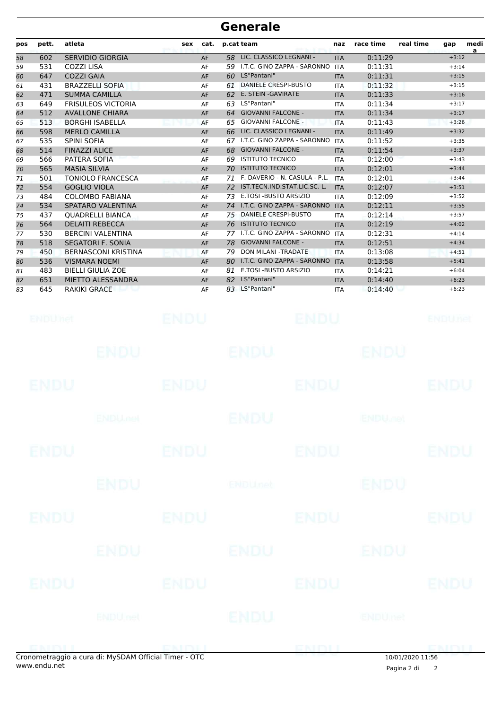| pos | pett. | atleta                     | sex | cat. | p.cat team |                               | naz        | race time | real time | gap     | medi<br>a |
|-----|-------|----------------------------|-----|------|------------|-------------------------------|------------|-----------|-----------|---------|-----------|
| 58  | 602   | <b>SERVIDIO GIORGIA</b>    |     | AF   | 58         | LIC. CLASSICO LEGNANI -       | <b>ITA</b> | 0:11:29   |           | $+3:12$ |           |
| 59  | 531   | <b>COZZI LISA</b>          |     | AF   | 59         | I.T.C. GINO ZAPPA - SARONNO   | <b>ITA</b> | 0:11:31   |           | $+3:14$ |           |
| 60  | 647   | <b>COZZI GAIA</b>          |     | AF   | 60         | LS"Pantani"                   | <b>ITA</b> | 0:11:31   |           | $+3:15$ |           |
| 61  | 431   | <b>BRAZZELLI SOFIA</b>     |     | AF   | 61         | DANIELE CRESPI-BUSTO          | <b>ITA</b> | 0:11:32   |           | $+3:15$ |           |
| 62  | 471   | <b>SUMMA CAMILLA</b>       |     | AF   |            | 62 E. STEIN - GAVIRATE        | <b>ITA</b> | 0:11:33   |           | $+3:16$ |           |
| 63  | 649   | <b>FRISULEOS VICTORIA</b>  |     | AF   | 63         | LS"Pantani"                   | <b>ITA</b> | 0:11:34   |           | $+3:17$ |           |
| 64  | 512   | <b>AVALLONE CHIARA</b>     |     | AF   | 64         | <b>GIOVANNI FALCONE -</b>     | <b>ITA</b> | 0:11:34   |           | $+3:17$ |           |
| 65  | 513   | <b>BORGHI ISABELLA</b>     |     | AF   | 65         | <b>GIOVANNI FALCONE -</b>     | <b>ITA</b> | 0:11:43   |           | $+3:26$ |           |
| 66  | 598   | <b>MERLO CAMILLA</b>       |     | AF   | 66         | LIC. CLASSICO LEGNANI -       | <b>ITA</b> | 0:11:49   |           | $+3:32$ |           |
| 67  | 535   | <b>SPINI SOFIA</b>         |     | AF   | 67         | I.T.C. GINO ZAPPA - SARONNO   | <b>ITA</b> | 0:11:52   |           | $+3:35$ |           |
| 68  | 514   | <b>FINAZZI ALICE</b>       |     | AF   | 68         | <b>GIOVANNI FALCONE -</b>     | <b>ITA</b> | 0:11:54   |           | $+3:37$ |           |
| 69  | 566   | PATERA SOFIA               |     | AF   | 69         | <b>ISTITUTO TECNICO</b>       | <b>ITA</b> | 0:12:00   |           | $+3:43$ |           |
| 70  | 565   | <b>MASIA SILVIA</b>        |     | AF   | 70         | <b>ISTITUTO TECNICO</b>       | <b>ITA</b> | 0:12:01   |           | $+3:44$ |           |
| 71  | 501   | <b>TONIOLO FRANCESCA</b>   |     | AF   | 71         | F. DAVERIO - N. CASULA - P.L. | <b>ITA</b> | 0:12:01   |           | $+3:44$ |           |
| 72  | 554   | <b>GOGLIO VIOLA</b>        |     | AF   | 72         | IST.TECN.IND.STAT.LIC.SC. L.  | <b>ITA</b> | 0:12:07   |           | $+3:51$ |           |
| 73  | 484   | <b>COLOMBO FABIANA</b>     |     | AF   | 73         | E.TOSI - BUSTO ARSIZIO        | <b>ITA</b> | 0:12:09   |           | $+3:52$ |           |
| 74  | 534   | SPATARO VALENTINA          |     | AF   | 74         | I.T.C. GINO ZAPPA - SARONNO   | <b>ITA</b> | 0:12:11   |           | $+3:55$ |           |
| 75  | 437   | <b>OUADRELLI BIANCA</b>    |     | AF   | 75         | <b>DANIELE CRESPI-BUSTO</b>   | <b>ITA</b> | 0:12:14   |           | $+3:57$ |           |
| 76  | 564   | <b>DELAITI REBECCA</b>     |     | AF   | 76         | <b>ISTITUTO TECNICO</b>       | <b>ITA</b> | 0:12:19   |           | $+4:02$ |           |
| 77  | 530   | <b>BERCINI VALENTINA</b>   |     | AF   | 77         | I.T.C. GINO ZAPPA - SARONNO   | <b>ITA</b> | 0:12:31   |           | $+4:14$ |           |
| 78  | 518   | <b>SEGATORI F. SONIA</b>   |     | AF   | 78         | <b>GIOVANNI FALCONE -</b>     | <b>ITA</b> | 0:12:51   |           | $+4:34$ |           |
| 79  | 450   | <b>BERNASCONI KRISTINA</b> |     | AF   | 79         | <b>DON MILANI -TRADATE</b>    | <b>ITA</b> | 0:13:08   |           | $+4:51$ |           |
| 80  | 536   | <b>VISMARA NOEMI</b>       |     | AF   | 80         | I.T.C. GINO ZAPPA - SARONNO   | <b>ITA</b> | 0:13:58   |           | $+5:41$ |           |
| 81  | 483   | <b>BIELLI GIULIA ZOE</b>   |     | AF   | 81         | E.TOSI - BUSTO ARSIZIO        | <b>ITA</b> | 0:14:21   |           | $+6:04$ |           |
| 82  | 651   | <b>MIETTO ALESSANDRA</b>   |     | AF   | 82         | LS"Pantani"                   | <b>ITA</b> | 0:14:40   |           | $+6:23$ |           |
| 83  | 645   | <b>RAKIKI GRACE</b>        |     | AF   |            | 83 LS"Pantani"                | <b>ITA</b> | 0:14:40   |           | $+6:23$ |           |

|             | concept the said a sure di. M. CDAM Official Timer. OTC. |             |                | CNIDI       | 10/01/2020 11 FC          |                |
|-------------|----------------------------------------------------------|-------------|----------------|-------------|---------------------------|----------------|
|             | ENDU <sub>net</sub>                                      |             | ENDU           |             | ENDUmet                   |                |
| ENDU        |                                                          | <b>ENDU</b> |                | <b>ENDU</b> |                           | <b>ENDU</b>    |
|             | <b>ENDU</b>                                              |             | <b>ENDU</b>    |             | ENDU                      |                |
| <b>ENDU</b> |                                                          | <b>ENDU</b> |                | <b>ENDU</b> |                           | <b>ENDU</b>    |
|             | <b>ENDU</b>                                              |             | <b>ENDUnet</b> |             | <b>ENDU</b>               |                |
| <b>ENDU</b> |                                                          | <b>ENDU</b> |                | <b>ENDU</b> |                           | <b>ENDU</b>    |
|             | <b>ENDUMBL</b>                                           |             | <b>ENDU</b>    |             | <b>ENDU<sub>DEL</sub></b> |                |
| <b>ENDU</b> |                                                          | <b>ENDU</b> |                | <b>ENDU</b> |                           | <b>ENDU</b>    |
|             | <b>ENDU</b>                                              |             | <b>ENDU</b>    |             | <b>ENDU</b>               |                |
| ENDUMet     |                                                          | <b>ENDU</b> |                | <b>ENDU</b> |                           | <b>ENDUnet</b> |

L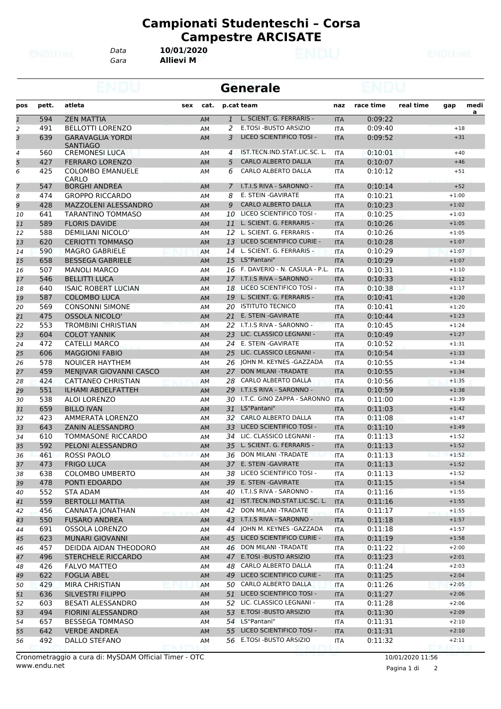*Data* **10/01/2020**

*Gara* **Allievi M**

|                |            |                                             |           |                | <b>Generale</b>                                   |                          |                    |           |                    |      |
|----------------|------------|---------------------------------------------|-----------|----------------|---------------------------------------------------|--------------------------|--------------------|-----------|--------------------|------|
| pos            | pett.      | atleta<br>sex                               | cat.      |                | p.cat team                                        | naz                      | race time          | real time | gap                | medi |
| $\overline{1}$ | 594        | <b>ZEN MATTIA</b>                           | <b>AM</b> | $\mathbf{1}$   | L. SCIENT. G. FERRARIS -                          | <b>ITA</b>               | 0:09:22            |           |                    | a    |
| 2              | 491        | <b>BELLOTTI LORENZO</b>                     | AM        | 2              | E.TOSI - BUSTO ARSIZIO                            | <b>ITA</b>               | 0:09:40            |           | $+18$              |      |
| 3              | 639        | <b>GARAVAGLIA YORDI</b>                     | <b>AM</b> | 3              | LICEO SCIENTIFICO TOSI -                          | <b>ITA</b>               | 0:09:52            |           | $+31$              |      |
| 4              | 560        | <b>SANTIAGO</b><br><b>CREMONESI LUCA</b>    | AM        | $\overline{4}$ | IST.TECN.IND.STAT.LIC.SC. L.                      | <b>ITA</b>               | 0:10:01            |           | $+40$              |      |
| 5              | 427        | <b>FERRARO LORENZO</b>                      | <b>AM</b> | 5              | <b>CARLO ALBERTO DALLA</b>                        | <b>ITA</b>               | 0:10:07            |           | $+46$              |      |
| 6              | 425        | <b>COLOMBO EMANUELE</b>                     | AM        | 6              | <b>CARLO ALBERTO DALLA</b>                        | <b>ITA</b>               | 0:10:12            |           | $+51$              |      |
|                |            | CARLO                                       |           |                |                                                   |                          |                    |           |                    |      |
| $\overline{7}$ | 547        | <b>BORGHI ANDREA</b>                        | AM        | 7              | I.T.I.S RIVA - SARONNO -                          | <b>ITA</b>               | 0:10:14            |           | $+52$              |      |
| 8              | 474        | <b>GROPPO RICCARDO</b>                      | AM        | 8              | E. STEIN - GAVIRATE                               | <b>ITA</b>               | 0:10:21            |           | $+1:00$            |      |
| 9              | 428        | <b>MAZZOLENI ALESSANDRO</b>                 | AM        | 9              | <b>CARLO ALBERTO DALLA</b>                        | <b>ITA</b>               | 0:10:23            |           | $+1:02$            |      |
| 10             | 641        | TARANTINO TOMMASO                           | AM        | 10             | LICEO SCIENTIFICO TOSI -                          | ITA                      | 0:10:25            |           | $+1:03$            |      |
| 11             | 589        | <b>FLORIS DAVIDE</b>                        | AM        | 11             | L. SCIENT. G. FERRARIS -                          | <b>ITA</b>               | 0:10:26            |           | $+1:05$            |      |
| 12             | 588        | <b>DEMILIANI NICOLO'</b>                    | AM        | 12             | L. SCIENT. G. FERRARIS -                          | <b>ITA</b>               | 0:10:26            |           | $+1:05$            |      |
| 13             | 620        | <b>CERIOTTI TOMMASO</b>                     | AM        | 13             | LICEO SCIENTIFICO CURIE -                         | <b>ITA</b>               | 0:10:28            |           | $+1:07$            |      |
| 14             | 590        | <b>MAGRO GABRIELE</b>                       | <b>AM</b> | 14             | L. SCIENT. G. FERRARIS -                          | <b>ITA</b>               | 0:10:29            |           | $+1:07$            |      |
| 15             | 658        | <b>BESSEGA GABRIELE</b>                     | AM        | 15             | LS"Pantani"<br>F. DAVERIO - N. CASULA - P.L.      | <b>ITA</b>               | 0:10:29            |           | $+1:07$            |      |
| 16             | 507<br>546 | <b>MANOLI MARCO</b><br><b>BELLITTI LUCA</b> | AM        | 16             | 17 I.T.I.S RIVA - SARONNO -                       | <b>ITA</b>               | 0:10:31            |           | $+1:10$<br>$+1:12$ |      |
| 17             | 640        | <b>ISAIC ROBERT LUCIAN</b>                  | AM        | 18             | LICEO SCIENTIFICO TOSI -                          | <b>ITA</b>               | 0:10:33<br>0:10:38 |           | $+1:17$            |      |
| 18<br>19       | 587        | <b>COLOMBO LUCA</b>                         | AM<br>AM  | 19             | L. SCIENT. G. FERRARIS -                          | <b>ITA</b><br><b>ITA</b> | 0:10:41            |           | $+1:20$            |      |
| 20             | 569        | <b>CONSONNI SIMONE</b>                      | AM        | 20             | <b>ISTITUTO TECNICO</b>                           | <b>ITA</b>               | 0:10:41            |           | $+1:20$            |      |
| 21             | 475        | <b>OSSOLA NICOLO'</b>                       | AM        | 21             | E. STEIN - GAVIRATE                               | <b>ITA</b>               | 0:10:44            |           | $+1:23$            |      |
| 22             | 553        | <b>TROMBINI CHRISTIAN</b>                   | AM        | 22             | I.T.I.S RIVA - SARONNO -                          | <b>ITA</b>               | 0:10:45            |           | $+1:24$            |      |
| 23             | 604        | <b>COLOT YANNIK</b>                         | AM        | 23             | LIC. CLASSICO LEGNANI -                           | <b>ITA</b>               | 0:10:49            |           | $+1:27$            |      |
| 24             | 472        | <b>CATELLI MARCO</b>                        | AM        | 24             | E. STEIN - GAVIRATE                               | <b>ITA</b>               | 0:10:52            |           | $+1:31$            |      |
| 25             | 606        | <b>MAGGIONI FABIO</b>                       | AM        | 25             | LIC. CLASSICO LEGNANI -                           | <b>ITA</b>               | 0:10:54            |           | $+1:33$            |      |
| 26             | 578        | <b>NOUICER HAYTHEM</b>                      | AM        | 26             | JOHN M. KEYNES -GAZZADA                           | <b>ITA</b>               | 0:10:55            |           | $+1:34$            |      |
| 27             | 459        | MENJIVAR GIOVANNI CASCO                     | AM        | 27             | DON MILANI - TRADATE                              | <b>ITA</b>               | 0:10:55            |           | $+1:34$            |      |
| 28             | 424        | CATTANEO CHRISTIAN                          | AM        | 28             | CARLO ALBERTO DALLA                               | ITA                      | 0:10:56            |           | $+1:35$            |      |
| 29             | 551        | <b>ILHAMI ABDELFATTEH</b>                   | <b>AM</b> | 29             | I.T.I.S RIVA - SARONNO -                          | <b>ITA</b>               | 0:10:59            |           | $+1:38$            |      |
| 30             | 538        | <b>ALOI LORENZO</b>                         | AM        | 30             | I.T.C. GINO ZAPPA - SARONNO                       | ITA                      | 0:11:00            |           | $+1:39$            |      |
| 31             | 659        | <b>BILLO IVAN</b>                           | AM        | 31             | LS"Pantani"                                       | <b>ITA</b>               | 0:11:03            |           | $+1:42$            |      |
| 32             | 423        | AMMERATA LORENZO                            | AM        | 32             | <b>CARLO ALBERTO DALLA</b>                        | <b>ITA</b>               | 0:11:08            |           | $+1:47$            |      |
| 33             | 643        | <b>ZANIN ALESSANDRO</b>                     | AM        | 33             | LICEO SCIENTIFICO TOSI -                          | <b>ITA</b>               | 0:11:10            |           | $+1:49$            |      |
| 34             | 610        | TOMMASONE RICCARDO                          | AM        | 34             | LIC. CLASSICO LEGNANI -                           | ITA                      | 0:11:13            |           | $+1:52$            |      |
| 35             | 592        | PELONI ALESSANDRO                           | AM        | 35             | L. SCIENT. G. FERRARIS -                          | <b>ITA</b>               | 0:11:13            |           | $+1:52$            |      |
| 36             | 461        | <b>ROSSI PAOLO</b>                          | <b>AM</b> | 36             | <b>DON MILANI -TRADATE</b>                        | <b>ITA</b>               | 0:11:13            |           | $+1:52$            |      |
| 37             | 473        | <b>FRIGO LUCA</b>                           | AM        |                | 37 E. STEIN - GAVIRATE                            | <b>ITA</b>               | 0:11:13            |           | $+1:52$            |      |
| 38             | 638        | <b>COLOMBO UMBERTO</b>                      | AM        |                | 38 LICEO SCIENTIFICO TOSI -<br>E. STEIN -GAVIRATE | ITA                      | 0:11:13            |           | $+1:52$            |      |
| 39             | 478        | PONTI EDOARDO                               | AM        | 39<br>40       | I.T.I.S RIVA - SARONNO -                          | <b>ITA</b>               | 0:11:15            |           | $+1:54$<br>$+1:55$ |      |
| 40<br>41       | 552<br>559 | STA ADAM<br><b>BERTOLLI MATTIA</b>          | AM<br>AM  |                | 41 IST.TECN.IND.STAT.LIC.SC. L.                   | <b>ITA</b><br><b>ITA</b> | 0:11:16<br>0:11:16 |           | $+1:55$            |      |
| 42             | 456        | CANNATA JONATHAN                            | AM        |                | 42 DON MILANI - TRADATE                           | ITA                      | 0:11:17            |           | $+1:55$            |      |
| 43             | 550        | <b>FUSARO ANDREA</b>                        | AM        | 43             | I.T.I.S RIVA - SARONNO -                          | <b>ITA</b>               | 0:11:18            |           | $+1:57$            |      |
| 44             | 691        | <b>OSSOLA LORENZO</b>                       | AM        |                | 44 JOHN M. KEYNES - GAZZADA                       | <b>ITA</b>               | 0:11:18            |           | $+1:57$            |      |
| 45             | 623        | MUNARI GIOVANNI                             | AM        | 45             | LICEO SCIENTIFICO CURIE -                         | <b>ITA</b>               | 0:11:19            |           | $+1:58$            |      |
| 46             | 457        | DEIDDA AIDAN THEODORO                       | AM        |                | 46 DON MILANI - TRADATE                           | <b>ITA</b>               | 0:11:22            |           | $+2:00$            |      |
| 47             | 496        | STERCHELE RICCARDO                          | AM        | 47             | E.TOSI - BUSTO ARSIZIO                            | <b>ITA</b>               | 0:11:23            |           | $+2:01$            |      |
| 48             | 426        | <b>FALVO MATTEO</b>                         | AM        | 48             | CARLO ALBERTO DALLA                               | ITA                      | 0:11:24            |           | $+2:03$            |      |
| 49             | 622        | <b>FOGLIA ABEL</b>                          | AM        | 49             | LICEO SCIENTIFICO CURIE -                         | <b>ITA</b>               | 0:11:25            |           | $+2:04$            |      |
| 50             | 429        | MIRA CHRISTIAN                              | AM        |                | 50 CARLO ALBERTO DALLA                            | ITA                      | 0:11:26            |           | $+2:05$            |      |
| 51             | 636        | SILVESTRI FILIPPO                           | AM        | 51             | LICEO SCIENTIFICO TOSI -                          | <b>ITA</b>               | 0:11:27            |           | $+2:06$            |      |
| 52             | 603        | BESATI ALESSANDRO                           | AM        |                | 52 LIC. CLASSICO LEGNANI -                        | <b>ITA</b>               | 0:11:28            |           | $+2:06$            |      |
| 53             | 494        | FIORINI ALESSANDRO                          | AM        | 53             | E.TOSI - BUSTO ARSIZIO                            | <b>ITA</b>               | 0:11:30            |           | $+2:09$            |      |
| 54             | 657        | <b>BESSEGA TOMMASO</b>                      | AM        |                | 54 LS"Pantani"                                    | ITA                      | 0:11:31            |           | $+2:10$            |      |
| 55             | 642        | <b>VERDE ANDREA</b>                         | AM        | 55             | LICEO SCIENTIFICO TOSI -                          | <b>ITA</b>               | 0:11:31            |           | $+2:10$            |      |
| 56             | 492        | DALLO STEFANO                               | AM        |                | 56 E.TOSI - BUSTO ARSIZIO                         | ITA                      | 0:11:32            |           | $+2:11$            |      |
|                |            |                                             |           |                |                                                   |                          |                    |           |                    |      |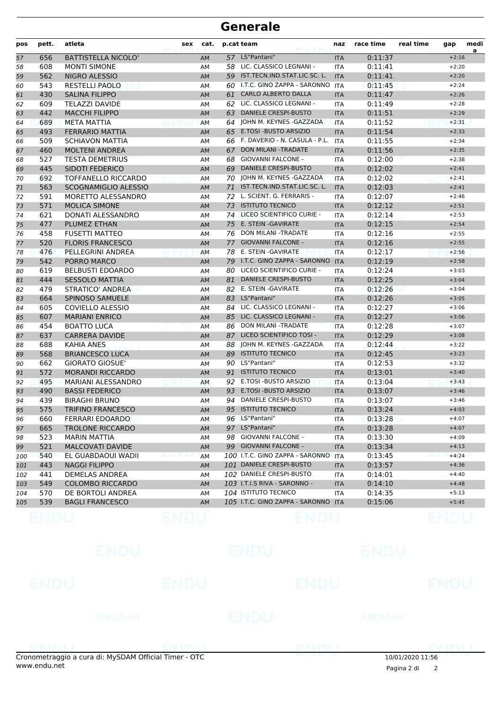| pos | pett. | atleta                     | <b>sex</b> | cat.      |    | p.cat team                          | naz        | race time | real time | gap     | medi |
|-----|-------|----------------------------|------------|-----------|----|-------------------------------------|------------|-----------|-----------|---------|------|
| 57  | 656   | <b>BATTISTELLA NICOLO'</b> |            | AM        |    | 57 LS"Pantani"                      | <b>ITA</b> | 0:11:37   |           | $+2:16$ | a    |
| 58  | 608   | <b>MONTI SIMONE</b>        |            | AM        |    | 58 LIC. CLASSICO LEGNANI -          | <b>ITA</b> | 0:11:41   |           | $+2:20$ |      |
| 59  | 562   | NIGRO ALESSIO              |            | AM        |    | 59 IST.TECN.IND.STAT.LIC.SC. L.     | <b>ITA</b> | 0:11:41   |           | $+2:20$ |      |
| 60  | 543   | <b>RESTELLI PAOLO</b>      |            | AM        |    | 60 I.T.C. GINO ZAPPA - SARONNO      | <b>ITA</b> | 0:11:45   |           | $+2:24$ |      |
| 61  | 430   | <b>SALINA FILIPPO</b>      |            | AM        | 61 | <b>CARLO ALBERTO DALLA</b>          | <b>ITA</b> | 0:11:47   |           | $+2:26$ |      |
| 62  | 609   | <b>TELAZZI DAVIDE</b>      |            | AM        | 62 | LIC. CLASSICO LEGNANI -             | <b>ITA</b> | 0:11:49   |           | $+2:28$ |      |
| 63  | 442   | <b>MACCHI FILIPPO</b>      |            | AM        | 63 | <b>DANIELE CRESPI-BUSTO</b>         | <b>ITA</b> | 0:11:51   |           | $+2:29$ |      |
| 64  | 689   | <b>META MATTIA</b>         |            | AM        |    | 64 JOHN M. KEYNES - GAZZADA         | <b>ITA</b> | 0:11:52   |           | $+2:31$ |      |
| 65  | 493   | <b>FERRARIO MATTIA</b>     |            | AM        |    | 65 E.TOSI - BUSTO ARSIZIO           | <b>ITA</b> | 0:11:54   |           | $+2:33$ |      |
| 66  | 509   | <b>SCHIAVON MATTIA</b>     |            | AM        |    | 66 F. DAVERIO - N. CASULA - P.L.    | <b>ITA</b> | 0:11:55   |           | $+2:34$ |      |
| 67  | 460   | <b>MOLTENI ANDREA</b>      |            | AM        | 67 | DON MILANI - TRADATE                | <b>ITA</b> | 0:11:56   |           | $+2:35$ |      |
| 68  | 527   | <b>TESTA DEMETRIUS</b>     |            | AM        | 68 | <b>GIOVANNI FALCONE -</b>           | <b>ITA</b> | 0:12:00   |           | $+2:38$ |      |
| 69  | 445   | <b>SIDOTI FEDERICO</b>     |            | AM        | 69 | <b>DANIELE CRESPI-BUSTO</b>         | <b>ITA</b> | 0:12:02   |           | $+2:41$ |      |
| 70  | 692   | TOFFANELLO RICCARDO        |            | AM        |    | 70 JOHN M. KEYNES - GAZZADA         | <b>ITA</b> | 0:12:02   |           | $+2:41$ |      |
| 71  | 563   | SCOGNAMIGLIO ALESSIO       |            | AM        | 71 | IST.TECN.IND.STAT.LIC.SC. L.        | <b>ITA</b> | 0:12:03   |           | $+2:41$ |      |
| 72  | 591   | MORETTO ALESSANDRO         |            | AM        |    | 72 L. SCIENT. G. FERRARIS -         | <b>ITA</b> | 0:12:07   |           | $+2:46$ |      |
| 73  | 571   | <b>MOLICA SIMONE</b>       |            | AM        | 73 | <b>ISTITUTO TECNICO</b>             | <b>ITA</b> | 0:12:12   |           | $+2:51$ |      |
| 74  | 621   | DONATI ALESSANDRO          |            | AM        |    | 74 LICEO SCIENTIFICO CURIE -        | <b>ITA</b> | 0:12:14   |           | $+2:53$ |      |
| 75  | 477   | PLUMEZ ETHAN               |            | AM        | 75 | E. STEIN - GAVIRATE                 | <b>ITA</b> | 0:12:15   |           | $+2:54$ |      |
| 76  | 458   | <b>FUSETTI MATTEO</b>      |            | AM        | 76 | <b>DON MILANI -TRADATE</b>          | <b>ITA</b> | 0:12:16   |           | $+2:55$ |      |
| 77  | 520   | <b>FLORIS FRANCESCO</b>    |            | AM        | 77 | <b>GIOVANNI FALCONE -</b>           | <b>ITA</b> | 0:12:16   |           | $+2:55$ |      |
| 78  | 476   | PELLEGRINI ANDREA          |            | AM        | 78 | E. STEIN -GAVIRATE                  | <b>ITA</b> | 0:12:17   |           | $+2:56$ |      |
| 79  | 542   | PORRO MARCO                |            | AM        | 79 | I.T.C. GINO ZAPPA - SARONNO         | <b>ITA</b> | 0:12:19   |           | $+2:58$ |      |
| 80  | 619   | <b>BELBUSTI EDOARDO</b>    |            | AM        | 80 | LICEO SCIENTIFICO CURIE -           | <b>ITA</b> | 0:12:24   |           | $+3:03$ |      |
| 81  | 444   | <b>SESSOLO MATTIA</b>      |            | AM        | 81 | <b>DANIELE CRESPI-BUSTO</b>         | <b>ITA</b> | 0:12:25   |           | $+3:04$ |      |
| 82  | 479   | <b>STRATICO' ANDREA</b>    |            | AM        |    | 82 E. STEIN - GAVIRATE              | <b>ITA</b> | 0:12:26   |           | $+3:04$ |      |
| 83  | 664   | SPINOSO SAMUELE            |            | AM        |    | 83 LS"Pantani"                      | <b>ITA</b> | 0:12:26   |           | $+3:05$ |      |
| 84  | 605   | <b>COVIELLO ALESSIO</b>    |            | AM        | 84 | LIC. CLASSICO LEGNANI -             | <b>ITA</b> | 0:12:27   |           | $+3:06$ |      |
| 85  | 607   | <b>MARIANI ENRICO</b>      |            | AM        | 85 | LIC. CLASSICO LEGNANI -             | <b>ITA</b> | 0:12:27   |           | $+3:06$ |      |
| 86  | 454   | <b>BOATTO LUCA</b>         |            | AM        | 86 | DON MILANI -TRADATE                 | <b>ITA</b> | 0:12:28   |           | $+3:07$ |      |
| 87  | 637   | <b>CARRERA DAVIDE</b>      |            | AM        | 87 | LICEO SCIENTIFICO TOSI -            | <b>ITA</b> | 0:12:29   |           | $+3:08$ |      |
| 88  | 688   | <b>KAHIA ANES</b>          |            | АM        |    | 88 JOHN M. KEYNES - GAZZADA         | <b>ITA</b> | 0:12:44   |           | $+3:22$ |      |
| 89  | 568   | <b>BRIANCESCO LUCA</b>     |            | AM        |    | 89 ISTITUTO TECNICO                 | <b>ITA</b> | 0:12:45   |           | $+3:23$ |      |
| 90  | 662   | <b>GIORATO GIOSUE'</b>     |            | AM        |    | 90 LS"Pantani"                      | <b>ITA</b> | 0:12:53   |           | $+3:32$ |      |
| 91  | 572   | <b>MORANDI RICCARDO</b>    |            | AM        | 91 | <b>ISTITUTO TECNICO</b>             | <b>ITA</b> | 0:13:01   |           | $+3:40$ |      |
| 92  | 495   | MARIANI ALESSANDRO         |            | AM        | 92 | E.TOSI - BUSTO ARSIZIO              | <b>ITA</b> | 0:13:04   |           | $+3:43$ |      |
| 93  | 490   | <b>BASSI FEDERICO</b>      |            | AM        | 93 | E.TOSI - BUSTO ARSIZIO              | <b>ITA</b> | 0:13:07   |           | $+3:46$ |      |
| 94  | 439   | <b>BIRAGHI BRUNO</b>       |            | AM        | 94 | <b>DANIELE CRESPI-BUSTO</b>         | <b>ITA</b> | 0:13:07   |           | $+3:46$ |      |
| 95  | 575   | <b>TRIFINO FRANCESCO</b>   |            | <b>AM</b> |    | 95 ISTITUTO TECNICO                 | <b>ITA</b> | 0:13:24   |           | $+4:03$ |      |
| 96  | 660   | <b>FERRARI EDOARDO</b>     |            | AM        |    | 96 LS"Pantani"                      | ITA        | 0:13:28   |           | $+4:07$ |      |
| 97  | 665   | <b>TROLONE RICCARDO</b>    |            | AM        |    | 97 LS"Pantani"                      | <b>ITA</b> | 0:13:28   |           | $+4:07$ |      |
| 98  | 523   | <b>MARIN MATTIA</b>        |            | АM        | 98 | <b>GIOVANNI FALCONE -</b>           | ITA        | 0:13:30   |           | $+4:09$ |      |
| 99  | 521   | <b>MALCOVATI DAVIDE</b>    |            | AM        |    | 99 GIOVANNI FALCONE -               | <b>ITA</b> | 0:13:34   |           | $+4:13$ |      |
| 100 | 540   | EL GUABDAOUI WADII         |            | AM        |    | 100 I.T.C. GINO ZAPPA - SARONNO     | <b>ITA</b> | 0:13:45   |           | $+4:24$ |      |
| 101 | 443   | <b>NAGGI FILIPPO</b>       |            | AM        |    | 101 DANIELE CRESPI-BUSTO            | <b>ITA</b> | 0:13:57   |           | $+4:36$ |      |
| 102 | 441   | <b>DEMELAS ANDREA</b>      |            | AM        |    | 102 DANIELE CRESPI-BUSTO            | ITA        | 0:14:01   |           | $+4:40$ |      |
| 103 | 549   | <b>COLOMBO RICCARDO</b>    |            | AM        |    | 103 I.T.I.S RIVA - SARONNO -        | <b>ITA</b> | 0:14:10   |           | $+4:48$ |      |
| 104 | 570   | DE BORTOLI ANDREA          |            | AM        |    | 104 ISTITUTO TECNICO                | ITA        | 0:14:35   |           | $+5:13$ |      |
| 105 | 539   | <b>BAGLI FRANCESCO</b>     |            | AM        |    | 105 I.T.C. GINO ZAPPA - SARONNO ITA |            | 0:15:06   |           | $+5:45$ |      |
|     |       |                            |            |           |    |                                     |            |           |           |         |      |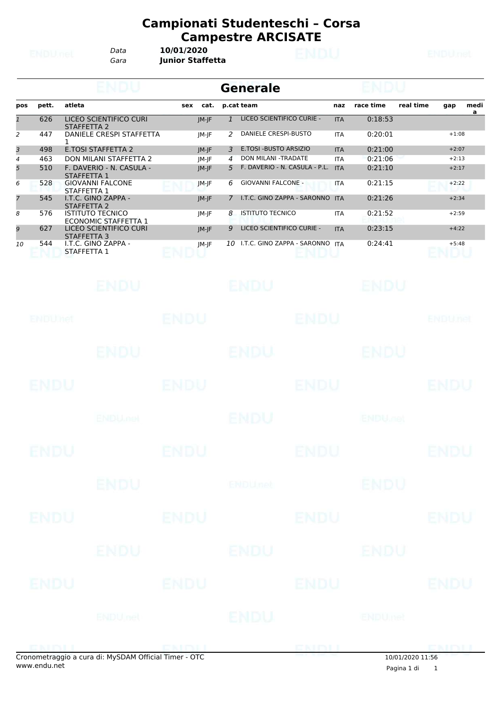*Gara* **Junior Staffetta** *Data* **10/01/2020**

|                     |             |                                                        |             |       | <b>Generale</b>     |                                                       |                          |                    |                  |                    |           |
|---------------------|-------------|--------------------------------------------------------|-------------|-------|---------------------|-------------------------------------------------------|--------------------------|--------------------|------------------|--------------------|-----------|
| pos                 | pett.       | atleta                                                 | sex         | cat.  | p.cat team          |                                                       | naz                      | race time          | real time        | gap                | medi<br>a |
| $\mathbf{1}$        | 626         | LICEO SCIENTIFICO CURI<br><b>STAFFETTA 2</b>           |             | JM-JF | $\mathbf{1}$        | LICEO SCIENTIFICO CURIE -                             | <b>ITA</b>               | 0:18:53            |                  |                    |           |
| 2                   | 447         | DANIELE CRESPI STAFFETTA                               |             | JM-JF | 2                   | DANIELE CRESPI-BUSTO                                  | <b>ITA</b>               | 0:20:01            |                  | $+1:08$            |           |
| 3                   | 498         | 1<br><b>E.TOSI STAFFETTA 2</b>                         |             | JM-JF | 3                   | E.TOSI - BUSTO ARSIZIO                                | <b>ITA</b>               | 0:21:00            |                  | $+2:07$            |           |
| $\overline{4}$<br>5 | 463<br>510  | DON MILANI STAFFETTA 2<br>F. DAVERIO - N. CASULA -     |             | JM-JF | $\overline{4}$<br>5 | DON MILANI - TRADATE<br>F. DAVERIO - N. CASULA - P.L. | <b>ITA</b><br><b>ITA</b> | 0:21:06<br>0:21:10 |                  | $+2:13$<br>$+2:17$ |           |
|                     |             | STAFFETTA 1                                            |             | JM-JF |                     |                                                       |                          |                    |                  |                    |           |
| 6                   | 528         | <b>GIOVANNI FALCONE</b><br>STAFFETTA 1                 |             | JM-JF | 6                   | <b>GIOVANNI FALCONE -</b>                             | <b>ITA</b>               | 0:21:15            |                  | $+2:22$            |           |
| $\overline{7}$      | 545         | I.T.C. GINO ZAPPA -<br>STAFFETTA 2                     |             | JM-JF | $\mathcal{I}$       | I.T.C. GINO ZAPPA - SARONNO ITA                       |                          | 0:21:26            |                  | $+2:34$            |           |
| 8                   | 576         | <b>ISTITUTO TECNICO</b><br><b>ECONOMIC STAFFETTA 1</b> |             | JM-JF | 8                   | <b>ISTITUTO TECNICO</b>                               | <b>ITA</b>               | 0:21:52            |                  | $+2:59$            |           |
| 9                   | 627         | LICEO SCIENTIFICO CURI<br>STAFFETTA 3                  |             | JM-JF | 9                   | LICEO SCIENTIFICO CURIE -                             | <b>ITA</b>               | 0:23:15            |                  | $+4:22$            |           |
| 10                  | 544         | I.T.C. GINO ZAPPA -<br>STAFFETTA 1                     |             | JM-JF |                     | 10 I.T.C. GINO ZAPPA - SARONNO ITA                    |                          | 0:24:41            |                  | $+5:48$            |           |
|                     |             | ENDU                                                   |             |       | ENDU                |                                                       |                          | ENDU               |                  |                    |           |
|                     | ENDUMet     |                                                        | ENDU        |       |                     | ENDU                                                  |                          |                    |                  | ENDUnet            |           |
|                     |             | ENDU.                                                  |             |       | ENDU                |                                                       |                          | ENDU               |                  |                    |           |
|                     | ENDU        |                                                        | ENDU        |       |                     | <b>ENDU</b>                                           |                          |                    |                  | ENDU               |           |
|                     |             | <b>ENDU<sub>net</sub></b>                              |             |       | ENDU                |                                                       |                          | <b>ENDUmet</b>     |                  |                    |           |
|                     |             |                                                        |             |       |                     |                                                       |                          |                    |                  |                    |           |
|                     | ENDL        |                                                        | FNDL        |       |                     | FNDU                                                  |                          |                    |                  | ENDL               |           |
|                     |             | <b>ENDU</b>                                            |             |       | <b>ENDUmet</b>      |                                                       |                          | <b>ENDU</b>        |                  |                    |           |
|                     | ENDU        |                                                        | <b>ENDU</b> |       |                     | <b>ENDU</b>                                           |                          |                    |                  | ENDU               |           |
|                     |             | ENDU                                                   |             |       | ENDU                |                                                       |                          | ENDU               |                  |                    |           |
|                     | <b>ENDU</b> |                                                        | <b>ENDU</b> |       |                     | <b>ENDU</b>                                           |                          |                    |                  | ENDU               |           |
|                     |             |                                                        |             |       |                     |                                                       |                          |                    |                  |                    |           |
|                     |             | <b>ENDUnet</b>                                         |             |       | ENDU                |                                                       |                          | ENDUmet            |                  |                    |           |
|                     | ENMIL       | Cronometraggio a cura di: MySDAM Official Timer - OTC  | ENDL        |       |                     | ENDU                                                  |                          |                    | 10/01/2020 11:56 | <b>DMDII</b>       |           |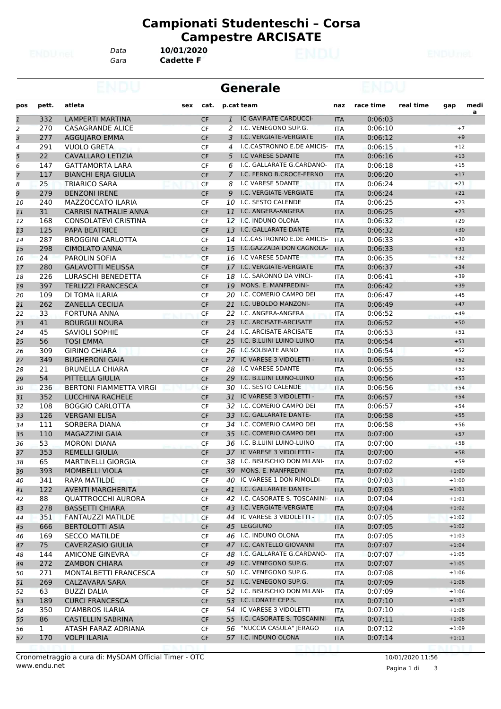*Gara* **Cadette F** *Data* **10/01/2020**

|                |              |                                |     |                        |                | <b>Generale</b>                |                          |           |           |                    |                |
|----------------|--------------|--------------------------------|-----|------------------------|----------------|--------------------------------|--------------------------|-----------|-----------|--------------------|----------------|
| pos            | pett.        | atleta                         | sex | cat.                   |                | p.cat team                     | naz                      | race time | real time | gap                | medi           |
| $\mathbf{1}$   | 332          | LAMPERTI MARTINA               |     | <b>CF</b>              | $\mathbf{1}$   | IC GAVIRATE CARDUCCI-          | <b>ITA</b>               | 0:06:03   |           |                    | $\overline{a}$ |
| $\overline{a}$ | 270          | <b>CASAGRANDE ALICE</b>        |     | <b>CF</b>              | 2              | I.C. VENEGONO SUP.G.           | <b>ITA</b>               | 0:06:10   |           | $+7$               |                |
| 3              | 277          | <b>AGGUIARO EMMA</b>           |     | <b>CF</b>              | 3              | I.C. VERGIATE-VERGIATE         | <b>ITA</b>               | 0:06:12   |           | $+9$               |                |
| $\overline{4}$ | 291          | <b>VUOLO GRETA</b>             |     | <b>CF</b>              | 4              | I.C.CASTRONNO E.DE AMICIS-     | ITA                      | 0:06:15   |           | $+12$              |                |
| 5              | 22           | CAVALLARO LETIZIA              |     | <b>CF</b>              | 5              | I.C VARESE 5DANTE              | <b>ITA</b>               | 0:06:16   |           | $+13$              |                |
| 6              | 147          | <b>GATTAMORTA LARA</b>         |     | <b>CF</b>              | 6              | I.C. GALLARATE G.CARDANO-      | ITA                      | 0:06:18   |           | $+15$              |                |
| $\overline{7}$ | 117          | <b>BIANCHI ERJA GIULIA</b>     |     | CF                     | $\overline{7}$ | I.C. FERNO B.CROCE-FERNO       | <b>ITA</b>               | 0:06:20   |           | $+17$              |                |
| 8              | 25           | <b>TRIARICO SARA</b>           |     | CF                     | 8              | I.C VARESE 5DANTE              | <b>ITA</b>               | 0:06:24   |           | $+21$              |                |
| 9              | 279          | <b>BENZONI IRENE</b>           |     | <b>CF</b>              | 9              | I.C. VERGIATE-VERGIATE         | <b>ITA</b>               | 0:06:24   |           | $+21$              |                |
| 10             | 240          | MAZZOCCATO ILARIA              |     | <b>CF</b>              |                | 10 I.C. SESTO CALENDE          | <b>ITA</b>               | 0:06:25   |           | $+23$              |                |
| 11             | 31           | <b>CARRISI NATHALIE ANNA</b>   |     | <b>CF</b>              |                | 11 I.C. ANGERA-ANGERA          | <b>ITA</b>               | 0:06:25   |           | $+23$              |                |
| 12             | 168          | CONSOLATEVI CRISTINA           |     | CF                     |                | 12 I.C. INDUNO OLONA           | <b>ITA</b>               | 0:06:32   |           | $+29$              |                |
| 13             | 125          | <b>PAPA BEATRICE</b>           |     | <b>CF</b>              |                | 13 I.C. GALLARATE DANTE-       | <b>ITA</b>               | 0:06:32   |           | $+30$              |                |
| 14             | 287          | <b>BROGGINI CARLOTTA</b>       |     | <b>CF</b>              |                | 14 I.C.CASTRONNO E.DE AMICIS-  | <b>ITA</b>               | 0:06:33   |           | $+30$              |                |
| 15             | 298          | <b>CIMOLATO ANNA</b>           |     | <b>CF</b>              |                | 15 I.C.GAZZADA DON CAGNOLA-    | <b>ITA</b>               | 0:06:33   |           | $+31$              |                |
| 16             | 24           | PAROLIN SOFIA                  |     | <b>CF</b>              |                | 16 I.C VARESE 5DANTE           | <b>ITA</b>               | 0:06:35   |           | $+32$              |                |
| 17             | 280          | <b>GALAVOTTI MELISSA</b>       |     | <b>CF</b>              |                | 17 I.C. VERGIATE-VERGIATE      | <b>ITA</b>               | 0:06:37   |           | $+34$              |                |
| 18             | 226          | LURASCHI BENEDETTA             |     | CF                     |                | 18 I.C. SARONNO DA VINCI-      | <b>ITA</b>               | 0:06:41   |           | $+39$              |                |
| 19             | 397          | <b>TERLIZZI FRANCESCA</b>      |     | <b>CF</b>              | 19             | MONS. E. MANFREDINI-           | <b>ITA</b>               | 0:06:42   |           | $+39$              |                |
| 20             | 109          | DI TOMA ILARIA                 |     | <b>CF</b>              |                | 20 I.C. COMERIO CAMPO DEI      | <b>ITA</b>               | 0:06:47   |           | $+45$              |                |
| 21             | 262          | <b>ZANELLA CECILIA</b>         |     | <b>CF</b>              |                | 21 I.C. UBOLDO MANZONI-        | <b>ITA</b>               | 0:06:49   |           | $+47$              |                |
| 22             | 33           | FORTUNA ANNA                   |     | <b>CF</b>              |                | 22 I.C. ANGERA-ANGERA          | <b>ITA</b>               | 0:06:52   |           | $+49$              |                |
| 23             | 41           | <b>BOURGUI NOURA</b>           |     | <b>CF</b>              |                | 23 I.C. ARCISATE-ARCISATE      | <b>ITA</b>               | 0:06:52   |           | $+50$              |                |
| 24             | 45           | <b>SAVIOLI SOPHIE</b>          |     | CF                     |                | 24 I.C. ARCISATE-ARCISATE      | <b>ITA</b>               | 0:06:53   |           | $+51$              |                |
| 25             | 56           | <b>TOSI EMMA</b>               |     | <b>CF</b>              |                | 25 I.C. B.LUINI LUINO-LUINO    | <b>ITA</b>               | 0:06:54   |           | $+51$              |                |
| 26             | 309          | <b>GIRINO CHIARA</b>           |     | <b>CF</b>              |                | 26 I.C.SOLBIATE ARNO           | <b>ITA</b>               | 0:06:54   |           | $+52$              |                |
| 27             | 349          | <b>BUGHERONI GAIA</b>          |     | <b>CF</b>              |                | 27 IC VARESE 3 VIDOLETTI -     | <b>ITA</b>               | 0:06:55   |           | $+52$              |                |
| 28             | 21           | <b>BRUNELLA CHIARA</b>         |     | <b>CF</b>              |                | 28 I.C VARESE 5DANTE           | <b>ITA</b>               | 0:06:55   |           | $+53$              |                |
| 29             | 54           | PITTELLA GIULIA                |     | <b>CF</b>              |                | 29 I.C. B.LUINI LUINO-LUINO    | <b>ITA</b>               | 0:06:56   |           | $+53$              |                |
| 30             | 236          | <b>BERTONI FIAMMETTA VIRGI</b> |     | <b>CF</b>              |                | 30 I.C. SESTO CALENDE          | <b>ITA</b>               | 0:06:56   |           | $+54$              |                |
| 31             | 352          | <b>LUCCHINA RACHELE</b>        |     | <b>CF</b>              |                | 31 IC VARESE 3 VIDOLETTI -     | <b>ITA</b>               | 0:06:57   |           | $+54$              |                |
| 32             | 108          | <b>BOGGIO CARLOTTA</b>         |     | <b>CF</b>              |                | 32 I.C. COMERIO CAMPO DEI      | <b>ITA</b>               | 0:06:57   |           | $+54$              |                |
| 33             | 126          | <b>VERGANI ELISA</b>           |     | <b>CF</b>              |                | 33 I.C. GALLARATE DANTE-       | <b>ITA</b>               | 0:06:58   |           | $+55$              |                |
| 34             | 111          | SORBERA DIANA                  |     | CF                     |                | 34 I.C. COMERIO CAMPO DEI      | <b>ITA</b>               | 0:06:58   |           | $+56$              |                |
| 35             | 110          | <b>MAGAZZINI GAIA</b>          |     | <b>CF</b>              |                | 35 I.C. COMERIO CAMPO DEI      |                          | 0:07:00   |           | $+57$              |                |
| 36             | 53           | <b>MORONI DIANA</b>            |     | CF                     |                | 36 I.C. B.LUINI LUINO-LUINO    | <b>ITA</b><br><b>ITA</b> | 0:07:00   |           | $+58$              |                |
| 37             | 353          | <b>REMELLI GIULIA</b>          |     | <b>CF</b>              |                | 37 IC VARESE 3 VIDOLETTI -     |                          |           |           | $+58$              |                |
|                | 65           |                                |     |                        |                | 38 I.C. BISUSCHIO DON MILANI-  | <b>ITA</b>               | 0:07:00   |           |                    |                |
| 38             |              | MARTINELLI GIORGIA             |     | $\mathsf{C}\mathsf{F}$ |                | 39 MONS. E. MANFREDINI-        | <b>ITA</b>               | 0:07:02   |           | $+59$              |                |
| 39             | 393          | <b>MOMBELLI VIOLA</b>          |     | <b>CF</b>              |                | 40 IC VARESE 1 DON RIMOLDI-    | <b>ITA</b>               | 0:07:02   |           | $+1:00$<br>$+1:00$ |                |
| 40             | 341          | <b>RAPA MATILDE</b>            |     | CF                     |                | 41 I.C. GALLARATE DANTE-       | ITA                      | 0:07:03   |           |                    |                |
| 41             | 122          | <b>AVENTI MARGHERITA</b>       |     | <b>CF</b>              |                | 42 I.C. CASORATE S. TOSCANINI- | <b>ITA</b>               | 0:07:03   |           | $+1:01$            |                |
| 42             | 88           | <b>QUATTROCCHI AURORA</b>      |     | CF                     |                | 43 I.C. VERGIATE-VERGIATE      | ITA                      | 0:07:04   |           | $+1:01$            |                |
| 43             | 278          | <b>BASSETTI CHIARA</b>         |     | <b>CF</b>              |                |                                | <b>ITA</b>               | 0:07:04   |           | $+1:02$            |                |
| 44             | 351          | <b>FANTAUZZI MATILDE</b>       |     | CF                     |                | 44 IC VARESE 3 VIDOLETTI -     | <b>ITA</b>               | 0:07:05   |           | $+1:02$            |                |
| 45             | 666          | BERTOLOTTI ASIA                |     | <b>CF</b>              |                | 45 LEGGIUNO                    | <b>ITA</b>               | 0:07:05   |           | $+1:02$            |                |
| 46             | 169          | <b>SECCO MATILDE</b>           |     | CF                     |                | 46 I.C. INDUNO OLONA           | ITA                      | 0:07:05   |           | $+1:03$            |                |
| 47             | 75           | <b>CAVERZASIO GIULIA</b>       |     | <b>CF</b>              |                | 47 I.C. CANTELLO GIOVANNI      | <b>ITA</b>               | 0:07:07   |           | $+1:04$            |                |
| 48             | 144          | <b>AMICONE GINEVRA</b>         |     | CF                     |                | 48 I.C. GALLARATE G.CARDANO-   | <b>ITA</b>               | 0:07:07   |           | $+1:05$            |                |
| 49             | 272          | <b>ZAMBON CHIARA</b>           |     | <b>CF</b>              |                | 49 I.C. VENEGONO SUP.G.        | <b>ITA</b>               | 0:07:07   |           | $+1:05$            |                |
| 50             | 271          | MONTALBETTI FRANCESCA          |     | CF                     |                | 50 I.C. VENEGONO SUP.G.        | ITA                      | 0:07:08   |           | $+1:06$            |                |
| 51             | 269          | CALZAVARA SARA                 |     | <b>CF</b>              |                | 51 I.C. VENEGONO SUP.G.        | <b>ITA</b>               | 0:07:09   |           | $+1:06$            |                |
| 52             | 63           | <b>BUZZI DALIA</b>             |     | CF                     |                | 52 I.C. BISUSCHIO DON MILANI-  | <b>ITA</b>               | 0:07:09   |           | $+1:06$            |                |
| 53             | 189          | <b>CURCI FRANCESCA</b>         |     | <b>CF</b>              |                | 53 I.C. LONATE CEP.S.          | <b>ITA</b>               | 0:07:10   |           | $+1:07$            |                |
| 54             | 350          | D'AMBROS ILARIA                |     | CF                     |                | 54 IC VARESE 3 VIDOLETTI -     | <b>ITA</b>               | 0:07:10   |           | $+1:08$            |                |
| 55             | 86           | <b>CASTELLIN SABRINA</b>       |     | <b>CF</b>              |                | 55 I.C. CASORATE S. TOSCANINI- | <b>ITA</b>               | 0:07:11   |           | $+1:08$            |                |
| 56             | $\mathbf{1}$ | ATASH FARAZ ADRIANA            |     | CF                     |                | 56 "NUCCIA CASULA" JERAGO      | ITA                      | 0:07:12   |           | $+1:09$            |                |
| 57             | 170          | <b>VOLPI ILARIA</b>            |     | <b>CF</b>              |                | 57 I.C. INDUNO OLONA           | <b>ITA</b>               | 0:07:14   |           | $+1:11$            |                |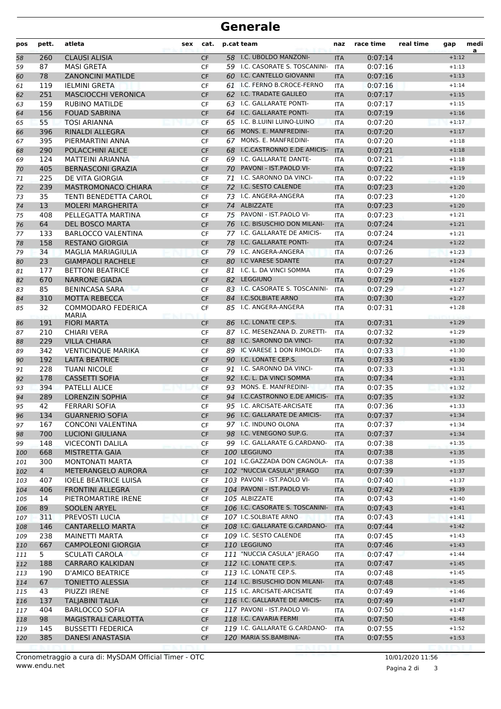| pos | pett.          | atleta                      | sex | cat.      |    | p.cat team                                               | naz        | race time | real time | gap     | medi<br>a |
|-----|----------------|-----------------------------|-----|-----------|----|----------------------------------------------------------|------------|-----------|-----------|---------|-----------|
| 58  | 260            | <b>CLAUSI ALISIA</b>        |     | <b>CF</b> |    | 58 I.C. UBOLDO MANZONI-                                  | <b>ITA</b> | 0:07:14   |           | $+1:12$ |           |
| 59  | 87             | <b>MASI GRETA</b>           |     | <b>CF</b> |    | 59 I.C. CASORATE S. TOSCANINI-                           | <b>ITA</b> | 0:07:16   |           | $+1:13$ |           |
| 60  | 78             | <b>ZANONCINI MATILDE</b>    |     | <b>CF</b> |    | 60 I.C. CANTELLO GIOVANNI                                | <b>ITA</b> | 0:07:16   |           | $+1:13$ |           |
| 61  | 119            | <b>IELMINI GRETA</b>        |     | CF        |    | 61 I.C. FERNO B.CROCE-FERNO                              | ITA        | 0:07:16   |           | $+1:14$ |           |
| 62  | 251            | <b>MASCIOCCHI VERONICA</b>  |     | <b>CF</b> |    | 62 I.C. TRADATE GALILEO                                  | <b>ITA</b> | 0:07:17   |           | $+1:15$ |           |
| 63  | 159            | <b>RUBINO MATILDE</b>       |     | CF        |    | 63 I.C. GALLARATE PONTI-                                 | <b>ITA</b> | 0:07:17   |           | $+1:15$ |           |
| 64  | 156            | <b>FOUAD SABRINA</b>        |     | <b>CF</b> |    | 64 I.C. GALLARATE PONTI-                                 | <b>ITA</b> | 0:07:19   |           | $+1:16$ |           |
| 65  | 55             | <b>TOSI ARIANNA</b>         |     | <b>CF</b> |    | 65 I.C. B.LUINI LUINO-LUINO                              | <b>ITA</b> | 0:07:20   |           | $+1:17$ |           |
| 66  | 396            | <b>RINALDI ALLEGRA</b>      |     | <b>CF</b> |    | 66 MONS. E. MANFREDINI-                                  | <b>ITA</b> | 0:07:20   |           | $+1:17$ |           |
| 67  | 395            | PIERMARTINI ANNA            |     | CF        |    | 67 MONS. E. MANFREDINI-                                  | <b>ITA</b> | 0:07:20   |           | $+1:18$ |           |
| 68  | 290            | POLACCHINI ALICE            |     | <b>CF</b> | 68 | I.C.CASTRONNO E.DE AMICIS-                               | <b>ITA</b> | 0:07:21   |           | $+1:18$ |           |
| 69  | 124            | <b>MATTEINI ARIANNA</b>     |     | <b>CF</b> |    | 69 I.C. GALLARATE DANTE-                                 | <b>ITA</b> | 0:07:21   |           | $+1:18$ |           |
| 70  | 405            | <b>BERNASCONI GRAZIA</b>    |     | CF        | 70 | PAVONI - IST.PAOLO VI-                                   | <b>ITA</b> | 0:07:22   |           | $+1:19$ |           |
| 71  | 225            | DE VITA GIORGIA             |     | CF        |    | 71 I.C. SARONNO DA VINCI-                                | ITA        | 0:07:22   |           | $+1:19$ |           |
| 72  | 239            | <b>MASTROMONACO CHIARA</b>  |     | <b>CF</b> |    | 72 I.C. SESTO CALENDE                                    | <b>ITA</b> | 0:07:23   |           | $+1:20$ |           |
| 73  | 35             | TENTI BENEDETTA CAROL       |     | <b>CF</b> |    | 73 I.C. ANGERA-ANGERA                                    | <b>ITA</b> | 0:07:23   |           | $+1:20$ |           |
| 74  | 13             | <b>MOLERI MARGHERITA</b>    |     | <b>CF</b> |    | 74 ALBIZZATE                                             | <b>ITA</b> | 0:07:23   |           | $+1:20$ |           |
| 75  | 408            | PELLEGATTA MARTINA          |     | <b>CF</b> | 75 | PAVONI - IST.PAOLO VI-                                   | <b>ITA</b> | 0:07:23   |           | $+1:21$ |           |
| 76  | 64             | <b>DEL BOSCO MARTA</b>      |     | <b>CF</b> |    | 76 I.C. BISUSCHIO DON MILANI-                            | <b>ITA</b> | 0:07:24   |           | $+1:21$ |           |
| 77  | 133            | <b>BARLOCCO VALENTINA</b>   |     | <b>CF</b> |    | 77 I.C. GALLARATE DE AMICIS-                             | <b>ITA</b> | 0:07:24   |           | $+1:21$ |           |
| 78  | 158            | <b>RESTANO GIORGIA</b>      |     | <b>CF</b> |    | 78 I.C. GALLARATE PONTI-                                 | <b>ITA</b> | 0:07:24   |           | $+1:22$ |           |
| 79  | 34             | <b>MAGLIA MARIAGIULIA</b>   |     | <b>CF</b> |    | 79 I.C. ANGERA-ANGERA                                    | <b>ITA</b> | 0:07:26   |           | $+1:23$ |           |
| 80  | 23             | <b>GIAMPAOLI RACHELE</b>    |     | <b>CF</b> |    | 80 I.C VARESE 5DANTE                                     | <b>ITA</b> | 0:07:27   |           | $+1:24$ |           |
| 81  | 177            | <b>BETTONI BEATRICE</b>     |     | CF        | 81 | I.C. L. DA VINCI SOMMA                                   | <b>ITA</b> | 0:07:29   |           | $+1:26$ |           |
| 82  | 670            | <b>NARRONE GIADA</b>        |     | <b>CF</b> |    | 82 LEGGIUNO                                              | <b>ITA</b> | 0:07:29   |           | $+1:27$ |           |
| 83  | 85             | <b>BENINCASA SARA</b>       |     | CF        |    | 83 I.C. CASORATE S. TOSCANINI-                           | <b>ITA</b> | 0:07:29   |           | $+1:27$ |           |
| 84  | 310            | <b>MOTTA REBECCA</b>        |     | <b>CF</b> |    | 84 I.C.SOLBIATE ARNO                                     | <b>ITA</b> | 0:07:30   |           | $+1:27$ |           |
| 85  | 32             | <b>COMMODARO FEDERICA</b>   |     | CF        | 85 | I.C. ANGERA-ANGERA                                       | <b>ITA</b> | 0:07:31   |           | $+1:28$ |           |
|     |                | <b>MARIA</b>                |     |           |    |                                                          |            |           |           |         |           |
| 86  | 191            | <b>FIORI MARTA</b>          |     | <b>CF</b> |    | 86 I.C. LONATE CEP.S.                                    | <b>ITA</b> | 0:07:31   |           | $+1:29$ |           |
| 87  | 210            | <b>CHIARI VERA</b>          |     | CF        |    | 87 I.C. MESENZANA D. ZURETTI-                            | <b>ITA</b> | 0:07:32   |           | $+1:29$ |           |
| 88  | 229            | <b>VILLA CHIARA</b>         |     | <b>CF</b> | 88 | I.C. SARONNO DA VINCI-                                   | <b>ITA</b> | 0:07:32   |           | $+1:30$ |           |
| 89  | 342            | <b>VENTICINQUE MARIKA</b>   |     | CF        |    | 89 IC VARESE 1 DON RIMOLDI-                              | <b>ITA</b> | 0:07:33   |           | $+1:30$ |           |
| 90  | 192            | <b>LAITA BEATRICE</b>       |     | <b>CF</b> |    | 90 I.C. LONATE CEP.S.                                    | <b>ITA</b> | 0:07:33   |           | $+1:30$ |           |
| 91  | 228            | <b>TUANI NICOLE</b>         |     | CF        |    | 91 I.C. SARONNO DA VINCI-                                | ITA        | 0:07:33   |           | $+1:31$ |           |
| 92  | 178            | <b>CASSETTI SOFIA</b>       |     | <b>CF</b> |    | 92 I.C. L. DA VINCI SOMMA                                | <b>ITA</b> | 0:07:34   |           | $+1:31$ |           |
| 93  | 394            | <b>PATELLI ALICE</b>        |     | <b>CF</b> |    | 93 MONS. E. MANFREDINI-                                  | <b>ITA</b> | 0:07:35   |           | $+1:32$ |           |
| 94  | 289            | <b>LORENZIN SOPHIA</b>      |     | <b>CF</b> |    | 94 I.C.CASTRONNO E.DE AMICIS-                            | <b>ITA</b> | 0:07:35   |           | $+1:32$ |           |
| 95  | 42             | <b>FERRARI SOFIA</b>        |     | <b>CF</b> |    | 95 I.C. ARCISATE-ARCISATE                                | <b>ITA</b> | 0:07:36   |           | $+1:33$ |           |
| 96  | 134            | <b>GUARNERIO SOFIA</b>      |     | <b>CF</b> |    | 96 I.C. GALLARATE DE AMICIS-                             | <b>ITA</b> | 0:07:37   |           | $+1:34$ |           |
| 97  | 167            | <b>CONCONI VALENTINA</b>    |     | CF        |    | 97 I.C. INDUNO OLONA                                     | ITA        | 0:07:37   |           | $+1:34$ |           |
| 98  | 700            | <b>LUCIONI GIULIANA</b>     |     | CF        |    | 98 I.C. VENEGONO SUP.G.                                  | <b>ITA</b> | 0:07:37   |           | $+1:34$ |           |
| 99  | 148            | VICECONTI DALILA            |     | CF        |    | 99 I.C. GALLARATE G.CARDANO-                             | ITA        | 0:07:38   |           | $+1:35$ |           |
| 100 | 668            | <b>MISTRETTA GAIA</b>       |     | CF        |    | 100 LEGGIUNO<br>101 I.C.GAZZADA DON CAGNOLA-             | <b>ITA</b> | 0:07:38   |           | $+1:35$ |           |
| 101 | 300            | <b>MONTONATI MARTA</b>      |     | CF        |    |                                                          | ITA        | 0:07:38   |           | $+1:35$ |           |
| 102 | $\overline{4}$ | METERANGELO AURORA          |     | CF        |    | 102 "NUCCIA CASULA" JERAGO                               | <b>ITA</b> | 0:07:39   |           | $+1:37$ |           |
| 103 | 407            | <b>IOELE BEATRICE LUISA</b> |     | CF        |    | 103 PAVONI - IST.PAOLO VI-<br>104 PAVONI - IST.PAOLO VI- | ITA        | 0:07:40   |           | $+1:37$ |           |
| 104 | 406            | <b>FRONTINI ALLEGRA</b>     |     | CF        |    |                                                          | <b>ITA</b> | 0:07:42   |           | $+1:39$ |           |
| 105 | 14             | PIETROMARTIRE IRENE         |     | CF        |    | 105 ALBIZZATE                                            | ITA        | 0:07:43   |           | $+1:40$ |           |
| 106 | 89             | SOOLEN ARYEL                |     | CF        |    | 106 I.C. CASORATE S. TOSCANINI-                          | <b>ITA</b> | 0:07:43   |           | $+1:41$ |           |
| 107 | 311            | PREVOSTI LUCIA              |     | CF        |    | 107 I.C.SOLBIATE ARNO                                    | ITA        | 0:07:43   |           | $+1:41$ |           |
| 108 | 146            | <b>CANTARELLO MARTA</b>     |     | CF        |    | 108 I.C. GALLARATE G.CARDANO-                            | <b>ITA</b> | 0:07:44   |           | $+1:42$ |           |
| 109 | 238            | MAINETTI MARTA              |     | CF        |    | 109 I.C. SESTO CALENDE                                   | ITA        | 0:07:45   |           | $+1:43$ |           |
| 110 | 667            | <b>CAMPOLEONI GIORGIA</b>   |     | CF        |    | 110 LEGGIUNO                                             | <b>ITA</b> | 0:07:46   |           | $+1:43$ |           |
| 111 | 5 <sub>1</sub> | <b>SCULATI CAROLA</b>       |     | CF        |    | 111 "NUCCIA CASULA" JERAGO                               | ITA        | 0:07:47   |           | $+1:44$ |           |
| 112 | 188            | <b>CARRARO KALKIDAN</b>     |     | CF        |    | 112 I.C. LONATE CEP.S.                                   | <b>ITA</b> | 0:07:47   |           | $+1:45$ |           |
| 113 | 190            | D'AMICO BEATRICE            |     | CF        |    | 113 I.C. LONATE CEP.S.                                   | ITA        | 0:07:48   |           | $+1:45$ |           |
| 114 | 67             | <b>TONIETTO ALESSIA</b>     |     | <b>CF</b> |    | 114 I.C. BISUSCHIO DON MILANI-                           | <b>ITA</b> | 0:07:48   |           | $+1:45$ |           |
| 115 | 43             | PIUZZI IRENE                |     | <b>CF</b> |    | 115 I.C. ARCISATE-ARCISATE                               | <b>ITA</b> | 0:07:49   |           | $+1:46$ |           |
| 116 | 137            | <b>TALJABINI TALIA</b>      |     | CF        |    | 116 I.C. GALLARATE DE AMICIS-                            | <b>ITA</b> | 0:07:49   |           | $+1:47$ |           |
| 117 | 404            | <b>BARLOCCO SOFIA</b>       |     | CF        |    | 117 PAVONI - IST. PAOLO VI-                              | ITA        | 0:07:50   |           | $+1:47$ |           |
| 118 | 98             | MAGISTRALI CARLOTTA         |     | CF        |    | 118 I.C. CAVARIA FERMI                                   | <b>ITA</b> | 0:07:50   |           | $+1:48$ |           |
| 119 | 145            | <b>BUSSETTI FEDERICA</b>    |     | CF        |    | 119 I.C. GALLARATE G.CARDANO-                            | ITA        | 0:07:55   |           | $+1:52$ |           |
| 120 | 385            | DANESI ANASTASIA            |     | <b>CF</b> |    | 120 MARIA SS.BAMBINA-                                    | <b>ITA</b> | 0:07:55   |           | $+1:53$ |           |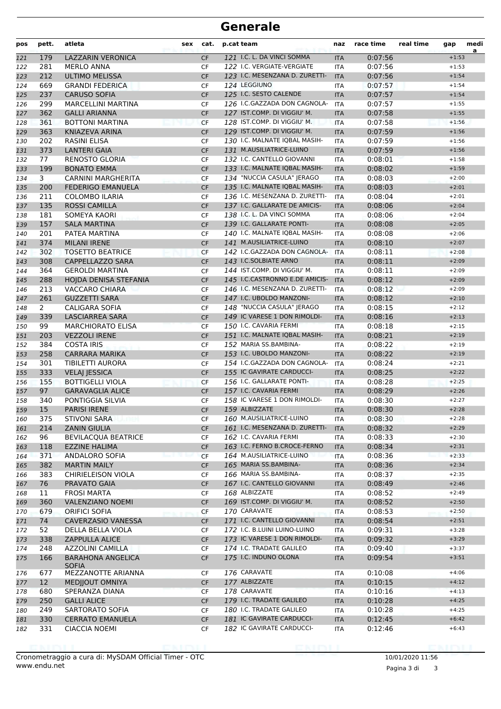| pos        | pett.          | atleta                                    | sex | cat.            | p.cat team                                             | naz                      | race time          | real time | gap                | medi<br>a |
|------------|----------------|-------------------------------------------|-----|-----------------|--------------------------------------------------------|--------------------------|--------------------|-----------|--------------------|-----------|
| 121        | 179            | <b>LAZZARIN VERONICA</b>                  |     | <b>CF</b>       | 121 I.C. L. DA VINCI SOMMA                             | <b>ITA</b>               | 0:07:56            |           | $+1:53$            |           |
| 122        | 281            | <b>MERLO ANNA</b>                         |     | <b>CF</b>       | 122 I.C. VERGIATE-VERGIATE                             | <b>ITA</b>               | 0:07:56            |           | $+1:53$            |           |
| 123        | 212            | <b>ULTIMO MELISSA</b>                     |     | <b>CF</b>       | 123 I.C. MESENZANA D. ZURETTI-                         | <b>ITA</b>               | 0:07:56            |           | $+1:54$            |           |
| 124        | 669            | <b>GRANDI FEDERICA</b>                    |     | <b>CF</b>       | 124 LEGGIUNO                                           | ITA                      | 0:07:57            |           | $+1:54$            |           |
| 125        | 237            | <b>CARUSO SOFIA</b>                       |     | <b>CF</b>       | 125 I.C. SESTO CALENDE                                 | <b>ITA</b>               | 0:07:57            |           | $+1:54$            |           |
| 126        | 299            | <b>MARCELLINI MARTINA</b>                 |     | CF              | 126 I.C.GAZZADA DON CAGNOLA-                           | <b>ITA</b>               | 0:07:57            |           | $+1:55$            |           |
| 127        | 362            | <b>GALLI ARIANNA</b>                      |     | <b>CF</b>       | 127 IST.COMP. DI VIGGIU' M.                            | <b>ITA</b>               | 0:07:58            |           | $+1:55$            |           |
| 128        | 361            | <b>BOTTONI MARTINA</b>                    |     | <b>CF</b>       | 128 IST.COMP. DI VIGGIU' M.                            | <b>ITA</b>               | 0:07:58            |           | $+1:56$            |           |
| 129        | 363            | KNIAZEVA ARINA                            |     | <b>CF</b>       | 129 IST.COMP. DI VIGGIU' M.                            | <b>ITA</b>               | 0:07:59            |           | $+1:56$            |           |
| 130        | 202            | <b>RASINI ELISA</b>                       |     | <b>CF</b>       | 130 I.C. MALNATE IQBAL MASIH-                          | <b>ITA</b>               | 0:07:59            |           | $+1:56$            |           |
| 131        | 373            | <b>LANTERI GAIA</b>                       |     | <b>CF</b>       | 131 M.AUSILIATRICE-LUINO                               | <b>ITA</b>               | 0:07:59            |           | $+1:56$            |           |
| 132        | 77             | RENOSTO GLORIA                            |     | CF              | 132 I.C. CANTELLO GIOVANNI                             | ITA                      | 0:08:01            |           | $+1:58$            |           |
| 133        | 199            | <b>BONATO EMMA</b>                        |     | <b>CF</b>       | 133 I.C. MALNATE IQBAL MASIH-                          | <b>ITA</b>               | 0:08:02            |           | $+1:59$            |           |
| 134        | 3              | CARNINI MARGHERITA                        |     | <b>CF</b>       | 134 "NUCCIA CASULA" JERAGO                             | <b>ITA</b>               | 0:08:03            |           | $+2:00$            |           |
| 135        | 200            | <b>FEDERIGO EMANUELA</b>                  |     | <b>CF</b>       | 135 I.C. MALNATE IQBAL MASIH-                          | <b>ITA</b>               | 0:08:03            |           | $+2:01$            |           |
| 136        | 211            | <b>COLOMBO ILARIA</b>                     |     | <b>CF</b>       | 136 I.C. MESENZANA D. ZURETTI-                         | ITA                      | 0:08:04            |           | $+2:01$            |           |
| 137        | 135            | <b>ROSSI CAMILLA</b>                      |     | <b>CF</b>       | 137 I.C. GALLARATE DE AMICIS-                          | <b>ITA</b>               | 0:08:06            |           | $+2:04$            |           |
| 138        | 181            | SOMEYA KAORI                              |     | CF              | 138 I.C. L. DA VINCI SOMMA                             | <b>ITA</b>               | 0:08:06            |           | $+2:04$            |           |
| 139        | 157            | <b>SALA MARTINA</b>                       |     | <b>CF</b>       | 139 I.C. GALLARATE PONTI-                              | <b>ITA</b>               | 0:08:08            |           | $+2:05$            |           |
| 140        | 201            | PATEA MARTINA                             |     | CF              | 140 I.C. MALNATE IQBAL MASIH-                          | ITA                      | 0:08:08            |           | $+2:06$            |           |
| 141        | 374            | <b>MILANI IRENE</b>                       |     | <b>CF</b>       | 141 M.AUSILIATRICE-LUINO                               | <b>ITA</b>               | 0:08:10            |           | $+2:07$            |           |
| 142        | 302            | <b>TOSETTO BEATRICE</b>                   |     | <b>CF</b>       | 142 I.C.GAZZADA DON CAGNOLA-                           | <b>ITA</b>               | 0:08:11            |           | $+2:08$            |           |
| 143        | 308            | CAPPELLAZZO SARA                          |     | <b>CF</b>       | 143 I.C.SOLBIATE ARNO                                  | <b>ITA</b>               | 0:08:11            |           | $+2:09$            |           |
| 144        | 364            | <b>GEROLDI MARTINA</b>                    |     | <b>CF</b>       | 144 IST.COMP. DI VIGGIU' M.                            | <b>ITA</b>               | 0:08:11            |           | $+2:09$            |           |
| 145        | 288            | HOJDA DENISA STEFANIA                     |     | <b>CF</b>       | 145 I.C.CASTRONNO E.DE AMICIS-                         | <b>ITA</b>               | 0:08:12            |           | $+2:09$            |           |
| 146        | 213            | VACCARO CHIARA                            |     | CF              | 146 I.C. MESENZANA D. ZURETTI-                         | <b>ITA</b>               | 0:08:12            |           | $+2:09$            |           |
| 147        | 261            | <b>GUZZETTI SARA</b>                      |     | <b>CF</b>       | 147 I.C. UBOLDO MANZONI-                               | <b>ITA</b>               | 0:08:12            |           | $+2:10$            |           |
| 148        | $\overline{2}$ | <b>CALIGARA SOFIA</b>                     |     | <b>CF</b>       | 148 "NUCCIA CASULA" JERAGO                             | <b>ITA</b>               | 0:08:15            |           | $+2:12$            |           |
| 149        | 339<br>99      | <b>LASCIARREA SARA</b>                    |     | <b>CF</b>       | 149 IC VARESE 1 DON RIMOLDI-<br>150 I.C. CAVARIA FERMI | <b>ITA</b>               | 0:08:16            |           | $+2:13$            |           |
| 150        | 203            | <b>MARCHIORATO ELISA</b>                  |     | <b>CF</b>       | 151 I.C. MALNATE IQBAL MASIH-                          | <b>ITA</b>               | 0:08:18<br>0:08:21 |           | $+2:15$            |           |
| 151        | 384            | <b>VEZZOLI IRENE</b><br><b>COSTA IRIS</b> |     | <b>CF</b>       | 152 MARIA SS.BAMBINA-                                  | <b>ITA</b>               | 0:08:22            |           | $+2:19$<br>$+2:19$ |           |
| 152<br>153 | 258            | CARRARA MARIKA                            |     | CF<br><b>CF</b> | 153 I.C. UBOLDO MANZONI-                               | <b>ITA</b><br><b>ITA</b> | 0:08:22            |           | $+2:19$            |           |
| 154        | 301            | <b>TIBILETTI AURORA</b>                   |     | <b>CF</b>       | 154 I.C.GAZZADA DON CAGNOLA-                           | <b>ITA</b>               | 0:08:24            |           | $+2:21$            |           |
| 155        | 333            | <b>VELAJ JESSICA</b>                      |     | <b>CF</b>       | <b>155 IC GAVIRATE CARDUCCI-</b>                       | <b>ITA</b>               | 0:08:25            |           | $+2:22$            |           |
| 156        | 155            | <b>BOTTIGELLI VIOLA</b>                   |     | <b>CF</b>       | 156 I.C. GALLARATE PONTI-                              | <b>ITA</b>               | 0:08:28            |           | $+2:25$            |           |
| 157        | 97             | <b>GARAVAGLIA ALICE</b>                   |     | <b>CF</b>       | 157 I.C. CAVARIA FERMI                                 | <b>ITA</b>               | 0:08:29            |           | $+2:26$            |           |
| 158        | 340            | PONTIGGIA SILVIA                          |     | CF              | 158 IC VARESE 1 DON RIMOLDI-                           | <b>ITA</b>               | 0:08:30            |           | $+2:27$            |           |
| 159        | 15             | <b>PARISI IRENE</b>                       |     | <b>CF</b>       | 159 ALBIZZATE                                          | <b>ITA</b>               | 0:08:30            |           | $+2:28$            |           |
| 160        | 375            | <b>STIVONI SARA</b>                       |     | CF              | 160 M.AUSILIATRICE-LUINO                               | ITA                      | 0:08:30            |           | $+2:28$            |           |
| 161        | 214            | <b>ZANIN GIULIA</b>                       |     | <b>CF</b>       | 161 I.C. MESENZANA D. ZURETTI-                         | <b>ITA</b>               | 0:08:32            |           | $+2:29$            |           |
| 162        | 96             | <b>BEVILACQUA BEATRICE</b>                |     | CF              | 162 I.C. CAVARIA FERMI                                 | ITA                      | 0:08:33            |           | $+2:30$            |           |
| 163        | 118            | <b>EZZINE HALIMA</b>                      |     | <b>CF</b>       | 163 I.C. FERNO B.CROCE-FERNO                           | <b>ITA</b>               | 0:08:34            |           | $+2:31$            |           |
| 164        | 371            | ANDALORO SOFIA                            |     | CF              | 164 M.AUSILIATRICE-LUINO                               | <b>ITA</b>               | 0:08:36            |           | $+2:33$            |           |
| 165        | 382            | <b>MARTIN MAILY</b>                       |     | <b>CF</b>       | 165 MARIA SS.BAMBINA-                                  | <b>ITA</b>               | 0:08:36            |           | $+2:34$            |           |
| 166        | 383            | CHIRIELEISON VIOLA                        |     | CF              | 166 MARIA SS.BAMBINA-                                  | ITA                      | 0:08:37            |           | $+2:35$            |           |
| 167        | 76             | PRAVATO GAIA                              |     | <b>CF</b>       | 167 I.C. CANTELLO GIOVANNI                             | <b>ITA</b>               | 0:08:49            |           | $+2:46$            |           |
| 168        | 11             | FROSI MARTA                               |     | CF              | 168 ALBIZZATE                                          | ITA                      | 0:08:52            |           | $+2:49$            |           |
| 169        | 360            | <b>VALENZIANO NOEMI</b>                   |     | <b>CF</b>       | 169 IST.COMP. DI VIGGIU' M.                            | <b>ITA</b>               | 0:08:52            |           | $+2:50$            |           |
| 170        | 679            | <b>ORIFICI SOFIA</b>                      |     | CF              | 170 CARAVATE                                           | ITA                      | 0:08:53            |           | $+2:50$            |           |
| 171        | 74             | CAVERZASIO VANESSA                        |     | <b>CF</b>       | 171 I.C. CANTELLO GIOVANNI                             | <b>ITA</b>               | 0:08:54            |           | $+2:51$            |           |
| 172        | 52             | DELLA BELLA VIOLA                         |     | CF              | 172 I.C. B.LUINI LUINO-LUINO                           | ITA                      | 0:09:31            |           | $+3:28$            |           |
| 173        | 338            | <b>ZAPPULLA ALICE</b>                     |     | <b>CF</b>       | 173 IC VARESE 1 DON RIMOLDI-                           | <b>ITA</b>               | 0:09:32            |           | $+3:29$            |           |
| 174        | 248            | <b>AZZOLINI CAMILLA</b>                   |     | CF              | 174 I.C. TRADATE GALILEO                               | ITA                      | 0:09:40            |           | $+3:37$            |           |
| 175        | 166            | <b>BARAHONA ANGELICA</b><br><b>SOFIA</b>  |     | CF              | 175 I.C. INDUNO OLONA                                  | <b>ITA</b>               | 0:09:54            |           | $+3:51$            |           |
| 176        | 677            | MEZZANOTTE ARIANNA                        |     | CF              | 176 CARAVATE                                           | ITA                      | 0:10:08            |           | $+4:06$            |           |
| 177        | 12             | <b>MEDIJOUT OMNIYA</b>                    |     | <b>CF</b>       | 177 ALBIZZATE                                          | <b>ITA</b>               | 0:10:15            |           | $+4:12$            |           |
| 178        | 680            | SPERANZA DIANA                            |     | <b>CF</b>       | 178 CARAVATE                                           | <b>ITA</b>               | 0:10:16            |           | $+4:13$            |           |
| 179        | 250            | <b>GALLI ALICE</b>                        |     | CF              | 179 I.C. TRADATE GALILEO                               | <b>ITA</b>               | 0:10:28            |           | $+4:25$            |           |
| 180        | 249            | SARTORATO SOFIA                           |     | CF              | 180 I.C. TRADATE GALILEO                               | ITA                      | 0:10:28            |           | $+4:25$            |           |
| 181        | 330            | <b>CERRATO EMANUELA</b>                   |     | CF              | 181 IC GAVIRATE CARDUCCI-                              | <b>ITA</b>               | 0:12:45            |           | $+6:42$            |           |
| 182        | 331            | <b>CIACCIA NOEMI</b>                      |     | CF              | 182 IC GAVIRATE CARDUCCI-                              | ITA                      | 0:12:46            |           | $+6:43$            |           |

10/01/2020 11:56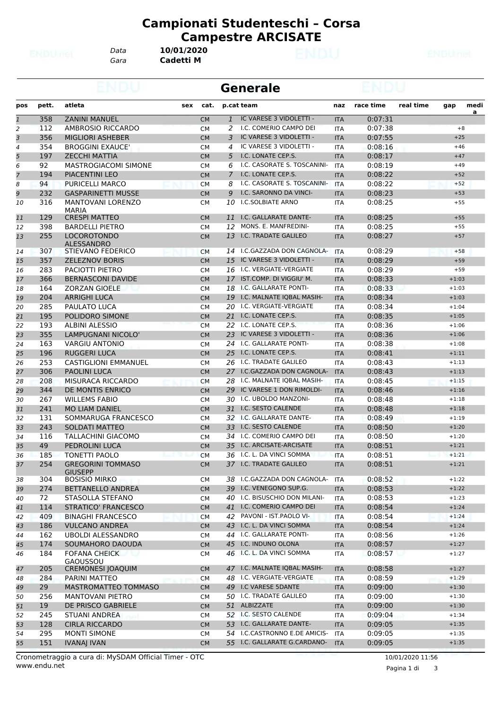*Gara* **Cadetti M** *Data* **10/01/2020**

|                |       |                                            |           |              | <b>Generale</b>               |            |           |           |         |      |
|----------------|-------|--------------------------------------------|-----------|--------------|-------------------------------|------------|-----------|-----------|---------|------|
| pos            | pett. | atleta<br>sex                              | cat.      |              | p.cat team                    | naz        | race time | real time | gap     | medi |
| $\mathbf{1}$   | 358   | <b>ZANINI MANUEL</b>                       | <b>CM</b> | $\mathbf{1}$ | IC VARESE 3 VIDOLETTI -       | <b>ITA</b> | 0:07:31   |           |         | a    |
| 2              | 112   | AMBROSIO RICCARDO                          | <b>CM</b> | 2            | I.C. COMERIO CAMPO DEI        | <b>ITA</b> | 0:07:38   |           |         | $+8$ |
| $\overline{3}$ | 356   | <b>MIGLIORI ASHEBER</b>                    | <b>CM</b> | 3            | IC VARESE 3 VIDOLETTI -       | <b>ITA</b> | 0:07:55   |           | $+25$   |      |
| 4              | 354   | <b>BROGGINI EXAUCE'</b>                    | <b>CM</b> | 4            | IC VARESE 3 VIDOLETTI -       | <b>ITA</b> | 0:08:16   |           | $+46$   |      |
| 5              | 197   | <b>ZECCHI MATTIA</b>                       | <b>CM</b> | 5            | I.C. LONATE CEP.S.            | <b>ITA</b> | 0:08:17   |           | $+47$   |      |
| 6              | 92    | <b>MASTROGIACOMI SIMONE</b>                | <b>CM</b> | 6            | I.C. CASORATE S. TOSCANINI-   | <b>ITA</b> | 0:08:19   |           | $+49$   |      |
| $\overline{7}$ | 194   | <b>PIACENTINI LEO</b>                      | <b>CM</b> | 7            | I.C. LONATE CEP.S.            | <b>ITA</b> | 0:08:22   |           | $+52$   |      |
| 8              | 94    | <b>PURICELLI MARCO</b>                     | <b>CM</b> | 8            | I.C. CASORATE S. TOSCANINI-   | ITA        | 0:08:22   |           | $+52$   |      |
| 9              | 232   | <b>GASPARINETTI MUSSE</b>                  | <b>CM</b> | 9            | I.C. SARONNO DA VINCI-        | <b>ITA</b> | 0:08:23   |           | $+53$   |      |
| 10             | 316   | <b>MANTOVANI LORENZO</b><br><b>MARIA</b>   | <b>CM</b> | 10           | <b>I.C.SOLBIATE ARNO</b>      | <b>ITA</b> | 0:08:25   |           | $+55$   |      |
| 11             | 129   | <b>CRESPI MATTEO</b>                       | <b>CM</b> | 11           | I.C. GALLARATE DANTE-         | <b>ITA</b> | 0:08:25   |           | $+55$   |      |
| 12             | 398   | <b>BARDELLI PIETRO</b>                     | <b>CM</b> | 12           | MONS. E. MANFREDINI-          | <b>ITA</b> | 0:08:25   |           | $+55$   |      |
| 13             | 255   | <b>LOCOROTONDO</b><br>ALESSANDRO           | <b>CM</b> | 13           | I.C. TRADATE GALILEO          | <b>ITA</b> | 0:08:27   |           | $+57$   |      |
| 14             | 307   | STIEVANO FEDERICO                          | <b>CM</b> |              | 14 I.C.GAZZADA DON CAGNOLA-   | <b>ITA</b> | 0:08:29   |           | $+58$   |      |
| 15             | 357   | <b>ZELEZNOV BORIS</b>                      | <b>CM</b> | 15           | IC VARESE 3 VIDOLETTI -       | <b>ITA</b> | 0:08:29   |           | $+59$   |      |
| 16             | 283   | PACIOTTI PIETRO                            | <b>CM</b> |              | 16 I.C. VERGIATE-VERGIATE     | <b>ITA</b> | 0:08:29   |           | $+59$   |      |
| 17             | 366   | <b>BERNASCONI DAVIDE</b>                   | <b>CM</b> | 17           | IST.COMP. DI VIGGIU' M.       | <b>ITA</b> | 0:08:33   |           | $+1:03$ |      |
| 18             | 164   | <b>ZORZAN GIOELE</b>                       | <b>CM</b> | 18           | I.C. GALLARATE PONTI-         | <b>ITA</b> | 0:08:33   |           | $+1:03$ |      |
| 19             | 204   | <b>ARRIGHI LUCA</b>                        | <b>CM</b> | 19           | I.C. MALNATE IQBAL MASIH-     | <b>ITA</b> | 0:08:34   |           | $+1:03$ |      |
| 20             | 285   | PAULATO LUCA                               | <b>CM</b> | 20           | I.C. VERGIATE-VERGIATE        | <b>ITA</b> | 0:08:34   |           | $+1:04$ |      |
| 21             | 195   | POLIDORO SIMONE                            | <b>CM</b> | 21           | I.C. LONATE CEP.S.            | <b>ITA</b> | 0:08:35   |           | $+1:05$ |      |
| 22             | 193   | <b>ALBINI ALESSIO</b>                      | <b>CM</b> |              | 22 I.C. LONATE CEP.S.         | <b>ITA</b> | 0:08:36   |           | $+1:06$ |      |
| 23             | 355   | LAMPUGNANI NICOLO'                         | <b>CM</b> | 23           | IC VARESE 3 VIDOLETTI -       | <b>ITA</b> | 0:08:36   |           | $+1:06$ |      |
| 24             | 163   | <b>VARGIU ANTONIO</b>                      | <b>CM</b> | 24           | I.C. GALLARATE PONTI-         | <b>ITA</b> | 0:08:38   |           | $+1:08$ |      |
| 25             | 196   | <b>RUGGERI LUCA</b>                        | <b>CM</b> | 25           | I.C. LONATE CEP.S.            | <b>ITA</b> | 0:08:41   |           | $+1:11$ |      |
| 26             | 253   | <b>CASTIGLIONI EMMANUEL</b>                | <b>CM</b> | 26           | I.C. TRADATE GALILEO          | <b>ITA</b> | 0:08:43   |           | $+1:13$ |      |
| 27             | 306   | <b>PAOLINI LUCA</b>                        | <b>CM</b> |              | 27 I.C.GAZZADA DON CAGNOLA-   | <b>ITA</b> | 0:08:43   |           | $+1:13$ |      |
| 28             | 208   | MISURACA RICCARDO                          | <b>CM</b> |              | 28 I.C. MALNATE IQBAL MASIH-  | <b>ITA</b> | 0:08:45   |           | $+1:15$ |      |
| 29             | 344   | DE MONTIS ENRICO                           | <b>CM</b> | 29           | IC VARESE 1 DON RIMOLDI-      | <b>ITA</b> | 0:08:46   |           | $+1:16$ |      |
| 30             | 267   | <b>WILLEMS FABIO</b>                       | <b>CM</b> | 30           | I.C. UBOLDO MANZONI-          | <b>ITA</b> | 0:08:48   |           | $+1:18$ |      |
| 31             | 241   | <b>MO LIAM DANIEL</b>                      | <b>CM</b> | 31           | I.C. SESTO CALENDE            | <b>ITA</b> | 0:08:48   |           | $+1:18$ |      |
| 32             | 131   | SOMMARUGA FRANCESCO                        | <b>CM</b> |              | 32 I.C. GALLARATE DANTE-      | <b>ITA</b> | 0:08:49   |           | $+1:19$ |      |
| 33             | 243   | <b>SOLDATI MATTEO</b>                      | <b>CM</b> | 33           | I.C. SESTO CALENDE            | <b>ITA</b> | 0:08:50   |           | $+1:20$ |      |
| 34             | 116   | <b>TALLACHINI GIACOMO</b>                  | <b>CM</b> |              | 34 I.C. COMERIO CAMPO DEI     | <b>ITA</b> | 0:08:50   |           | $+1:20$ |      |
| 35             | 49    | PEDROLINI LUCA                             | <b>CM</b> | 35           | I.C. ARCISATE-ARCISATE        | <b>ITA</b> | 0:08:51   |           | $+1:21$ |      |
| 36             | 185   | TONETTI PAOLO                              | <b>CM</b> | 36           | I.C. L. DA VINCI SOMMA        | <b>ITA</b> | 0:08:51   |           | $+1:21$ |      |
| 37             | 254   | <b>GREGORINI TOMMASO</b><br><b>GIUSEPP</b> | <b>CM</b> |              | 37 I.C. TRADATE GALILEO       | <b>ITA</b> | 0:08:51   |           | $+1:21$ |      |
| 38             | 304   | <b>BOSISIO MIRKO</b>                       | CM        |              | 38 I.C.GAZZADA DON CAGNOLA-   | ITA        | 0:08:52   |           | $+1:22$ |      |
| 39             | 274   | <b>BETTANELLO ANDREA</b>                   | <b>CM</b> |              | 39 I.C. VENEGONO SUP.G.       | <b>ITA</b> | 0:08:53   |           | $+1:22$ |      |
| 40             | 72    | STASOLLA STEFANO                           | CM        |              | 40 I.C. BISUSCHIO DON MILANI- | <b>ITA</b> | 0:08:53   |           | $+1:23$ |      |
| 41             | 114   | STRATICO' FRANCESCO                        | <b>CM</b> |              | 41 I.C. COMERIO CAMPO DEI     | <b>ITA</b> | 0:08:54   |           | $+1:24$ |      |
| 42             | 409   | <b>BINAGHI FRANCESCO</b>                   | <b>CM</b> |              | 42 PAVONI - IST.PAOLO VI-     | <b>ITA</b> | 0:08:54   |           | $+1:24$ |      |
| 43             | 186   | <b>VULCANO ANDREA</b>                      | <b>CM</b> |              | 43 I.C. L. DA VINCI SOMMA     | <b>ITA</b> | 0:08:54   |           | $+1:24$ |      |
| 44             | 162   | <b>UBOLDI ALESSANDRO</b>                   | CM        | 44           | I.C. GALLARATE PONTI-         | ITA        | 0:08:56   |           | $+1:26$ |      |
| 45             | 174   | SOUMAHORO DAOUDA                           | CM        |              | 45 I.C. INDUNO OLONA          | <b>ITA</b> | 0:08:57   |           | $+1:27$ |      |
| 46             | 184   | <b>FOFANA CHEICK</b><br>GAOUSSOU           | СM        |              | 46 I.C. L. DA VINCI SOMMA     | ITA        | 0:08:57   |           | $+1:27$ |      |
| 47             | 205   | <b>CREMONESI JOAQUIM</b>                   | <b>CM</b> |              | 47 I.C. MALNATE IQBAL MASIH-  | <b>ITA</b> | 0:08:58   |           | $+1:27$ |      |
| 48             | 284   | PARINI MATTEO                              | <b>CM</b> |              | 48 I.C. VERGIATE-VERGIATE     | <b>ITA</b> | 0:08:59   |           | $+1:29$ |      |
| 49             | 29    | MASTROMATTEO TOMMASO                       | <b>CM</b> |              | 49 I.C VARESE 5DANTE          | <b>ITA</b> | 0:09:00   |           | $+1:30$ |      |
| 50             | 256   | <b>MANTOVANI PIETRO</b>                    | CM        |              | 50 I.C. TRADATE GALILEO       | ITA        | 0:09:00   |           | $+1:30$ |      |
| 51             | 19    | DE PRISCO GABRIELE                         | <b>CM</b> |              | 51 ALBIZZATE                  | <b>ITA</b> | 0:09:00   |           | $+1:30$ |      |
| 52             | 245   | STUANI ANDREA                              | <b>CM</b> |              | 52 I.C. SESTO CALENDE         | ITA        | 0:09:04   |           | $+1:34$ |      |
| 53             | 128   | <b>CIRLA RICCARDO</b>                      | <b>CM</b> |              | 53 I.C. GALLARATE DANTE-      | <b>ITA</b> | 0:09:05   |           | $+1:35$ |      |
| 54             | 295   | <b>MONTI SIMONE</b>                        | CM        |              | 54 I.C.CASTRONNO E.DE AMICIS- | <b>ITA</b> | 0:09:05   |           | $+1:35$ |      |
| 55             | 151   | <b>IVANAJ IVAN</b>                         | <b>CM</b> |              | 55 I.C. GALLARATE G.CARDANO-  | <b>ITA</b> | 0:09:05   |           | $+1:35$ |      |
|                |       |                                            |           |              |                               |            |           |           |         |      |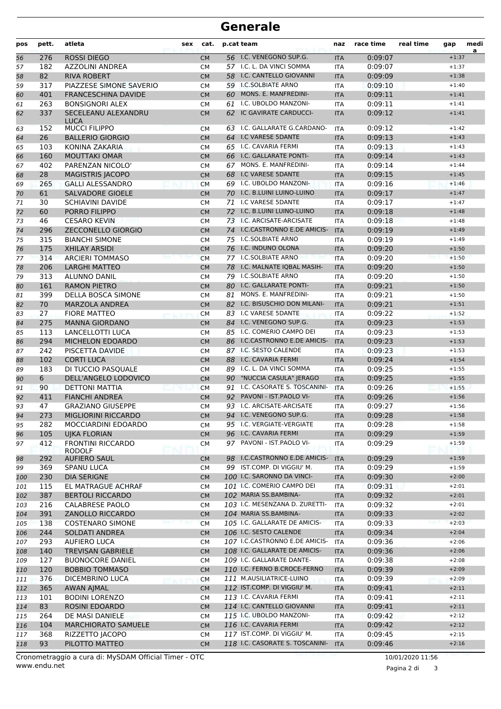| pos        | pett.      | atleta<br>sex                           | cat.                   |          | p.cat team                                              | naz                      | race time          | real time | gap                | medi<br>a |
|------------|------------|-----------------------------------------|------------------------|----------|---------------------------------------------------------|--------------------------|--------------------|-----------|--------------------|-----------|
| 56         | 276        | <b>ROSSI DIEGO</b>                      | <b>CM</b>              |          | 56 I.C. VENEGONO SUP.G.                                 | <b>ITA</b>               | 0:09:07            |           | $+1:37$            |           |
| 57         | 182        | <b>AZZOLINI ANDREA</b>                  | <b>CM</b>              |          | 57 I.C. L. DA VINCI SOMMA                               | <b>ITA</b>               | 0:09:07            |           | $+1:37$            |           |
| 58         | 82         | <b>RIVA ROBERT</b>                      | <b>CM</b>              |          | 58 I.C. CANTELLO GIOVANNI                               | <b>ITA</b>               | 0:09:09            |           | $+1:38$            |           |
| 59         | 317        | PIAZZESE SIMONE SAVERIO                 | <b>CM</b>              |          | 59 I.C.SOLBIATE ARNO                                    | ITA                      | 0:09:10            |           | $+1:40$            |           |
| 60         | 401        | <b>FRANCESCHINA DAVIDE</b>              | <b>CM</b>              | 60       | <b>MONS. E. MANFREDINI-</b>                             | <b>ITA</b>               | 0:09:11            |           | $+1:41$            |           |
| 61         | 263        | <b>BONSIGNORI ALEX</b>                  | <b>CM</b>              | 61       | I.C. UBOLDO MANZONI-                                    | <b>ITA</b>               | 0:09:11            |           | $+1:41$            |           |
| 62         | 337        | SECELEANU ALEXANDRU<br><b>LUCA</b>      | <b>CM</b>              | 62       | IC GAVIRATE CARDUCCI-                                   | <b>ITA</b>               | 0:09:12            |           | $+1:41$            |           |
| 63         | 152        | <b>MUCCI FILIPPO</b>                    | <b>CM</b>              |          | 63 I.C. GALLARATE G.CARDANO-                            | <b>ITA</b>               | 0:09:12            |           | $+1:42$            |           |
| 64         | 26         | <b>BALLERIO GIORGIO</b>                 | <b>CM</b>              |          | 64 I.C VARESE 5DANTE                                    | <b>ITA</b>               | 0:09:13            |           | $+1:43$            |           |
| 65         | 103        | KONINA ZAKARIA                          | <b>CM</b>              | 65       | I.C. CAVARIA FERMI                                      | <b>ITA</b>               | 0:09:13            |           | $+1:43$            |           |
| 66         | 160        | <b>MOUTTAKI OMAR</b>                    | <b>CM</b>              | 66       | I.C. GALLARATE PONTI-                                   | <b>ITA</b>               | 0:09:14            |           | $+1:43$            |           |
| 67         | 402        | PARENZAN NICOLO'                        | <b>CM</b>              | 67       | MONS. E. MANFREDINI-                                    | <b>ITA</b>               | 0:09:14            |           | $+1:44$            |           |
| 68         | 28         | <b>MAGISTRIS JACOPO</b>                 | <b>CM</b>              | 68       | I.C VARESE 5DANTE                                       | <b>ITA</b>               | 0:09:15            |           | $+1:45$            |           |
| 69         | 265        | <b>GALLI ALESSANDRO</b>                 | <b>CM</b>              |          | 69 I.C. UBOLDO MANZONI-                                 | <b>ITA</b>               | 0:09:16            |           | $+1:46$            |           |
| 70         | 61         | <b>SALVADORE GIOELE</b>                 | <b>CM</b>              |          | 70 I.C. B.LUINI LUINO-LUINO                             | <b>ITA</b>               | 0:09:17            |           | $+1:47$            |           |
| 71         | 30         | <b>SCHIAVINI DAVIDE</b>                 | <b>CM</b>              |          | 71 I.C VARESE 5DANTE                                    | <b>ITA</b>               | 0:09:17            |           | $+1:47$            |           |
| 72         | 60         | PORRO FILIPPO                           | <b>CM</b>              | 72       | I.C. B.LUINI LUINO-LUINO                                | <b>ITA</b>               | 0:09:18            |           | $+1:48$            |           |
| 73         | 46         | <b>CESARO KEVIN</b>                     | <b>CM</b>              |          | 73 I.C. ARCISATE-ARCISATE                               | <b>ITA</b>               | 0:09:18            |           | $+1:48$            |           |
| 74         | 296        | <b>ZECCONELLO GIORGIO</b>               | <b>CM</b>              |          | 74 I.C.CASTRONNO E.DE AMICIS-                           | <b>ITA</b>               | 0:09:19            |           | $+1:49$            |           |
| 75         | 315        | <b>BIANCHI SIMONE</b>                   | <b>CM</b>              |          | 75 I.C.SOLBIATE ARNO                                    | <b>ITA</b>               | 0:09:19            |           | $+1:49$            |           |
| 76         | 175        | <b>XHILAY ARSIDI</b>                    | <b>CM</b>              |          | 76 I.C. INDUNO OLONA                                    | <b>ITA</b>               | 0:09:20            |           | $+1:50$            |           |
| 77         | 314        | <b>ARCIERI TOMMASO</b>                  | <b>CM</b>              |          | 77 I.C.SOLBIATE ARNO                                    | <b>ITA</b>               | 0:09:20            |           | $+1:50$            |           |
| 78         | 206        | <b>LARGHI MATTEO</b>                    | <b>CM</b>              | 78       | I.C. MALNATE IQBAL MASIH-                               | <b>ITA</b>               | 0:09:20            |           | $+1:50$            |           |
| 79         | 313        | <b>ALUNNO DANIL</b>                     | <b>CM</b>              |          | 79 I.C.SOLBIATE ARNO                                    | <b>ITA</b>               | 0:09:20            |           | $+1:50$            |           |
| 80         | 161        | <b>RAMON PIETRO</b>                     | <b>CM</b>              | 80       | I.C. GALLARATE PONTI-                                   | <b>ITA</b>               | 0:09:21            |           | $+1:50$            |           |
| 81         | 399        | DELLA BOSCA SIMONE                      | <b>CM</b>              | 81       | MONS. E. MANFREDINI-                                    | <b>ITA</b>               | 0:09:21            |           | $+1:50$            |           |
| 82         | 70         | <b>MARZOLA ANDREA</b>                   | <b>CM</b>              |          | 82 I.C. BISUSCHIO DON MILANI-                           | <b>ITA</b>               | 0:09:21            |           | $+1:51$            |           |
| 83         | 27         | <b>FIORE MATTEO</b>                     | <b>CM</b>              |          | 83 I.C VARESE 5DANTE                                    | <b>ITA</b>               | 0:09:22            |           | $+1:52$            |           |
| 84         | 275        | <b>MANNA GIORDANO</b>                   | <b>CM</b>              | 84       | I.C. VENEGONO SUP.G.                                    | <b>ITA</b>               | 0:09:23            |           | $+1:53$            |           |
| 85         | 113        | LANCELLOTTI LUCA                        | <b>CM</b>              | 85       | I.C. COMERIO CAMPO DEI                                  | <b>ITA</b>               | 0:09:23            |           | $+1:53$            |           |
| 86         | 294        | MICHELON EDOARDO                        | <b>CM</b>              | 86       | I.C.CASTRONNO E.DE AMICIS-                              | <b>ITA</b>               | 0:09:23            |           | $+1:53$            |           |
| 87         | 242        | PISCETTA DAVIDE                         | <b>CM</b>              |          | 87 I.C. SESTO CALENDE<br>I.C. CAVARIA FERMI             | <b>ITA</b>               | 0:09:23            |           | $+1:53$            |           |
| 88         | 102<br>183 | <b>CORTI LUCA</b><br>DI TUCCIO PASQUALE | <b>CM</b>              | 88<br>89 | I.C. L. DA VINCI SOMMA                                  | <b>ITA</b>               | 0:09:24<br>0:09:25 |           | $+1:54$<br>$+1:55$ |           |
| 89<br>90   | 6          | DELL'ANGELO LODOVICO                    | <b>CM</b><br><b>CM</b> | 90       | "NUCCIA CASULA" JERAGO                                  | <b>ITA</b><br><b>ITA</b> | 0:09:25            |           | $+1:55$            |           |
| 91         | 90         | <b>DETTONI MATTIA</b>                   | <b>CM</b>              | 91       | I.C. CASORATE S. TOSCANINI-                             | <b>ITA</b>               | 0:09:26            |           | $+1:55$            |           |
| 92         | 411        | <b>FIANCHI ANDREA</b>                   | <b>CM</b>              | 92       | PAVONI - IST.PAOLO VI-                                  | <b>ITA</b>               | 0:09:26            |           | $+1:56$            |           |
| 93         | 47         | <b>GRAZIANO GIUSEPPE</b>                | <b>CM</b>              |          | 93 I.C. ARCISATE-ARCISATE                               | <b>ITA</b>               | 0:09:27            |           | $+1:56$            |           |
| 94         | 273        | MIGLIORINI RICCARDO                     | CM.                    |          | 94 I.C. VENEGONO SUP.G.                                 | <b>ITA</b>               | 0:09:28            |           | $+1:58$            |           |
| 95         | 282        | MOCCIARDINI EDOARDO                     | <b>CM</b>              |          | 95 I.C. VERGIATE-VERGIATE                               | ITA                      | 0:09:28            |           | $+1:58$            |           |
| 96         | 105        | <b>UJKA FLORIAN</b>                     | <b>CM</b>              |          | 96 I.C. CAVARIA FERMI                                   | <b>ITA</b>               | 0:09:29            |           | $+1:59$            |           |
| 97         | 412        | <b>FRONTINI RICCARDO</b>                | <b>CM</b>              |          | 97 PAVONI - IST.PAOLO VI-                               | ITA                      | 0:09:29            |           | $+1:59$            |           |
|            |            | <b>RODOLF</b>                           |                        |          |                                                         |                          |                    |           |                    |           |
| 98         | 292        | <b>AUFIERO SAUL</b>                     | <b>CM</b>              |          | 98 I.C.CASTRONNO E.DE AMICIS-                           | <b>ITA</b>               | 0:09:29            |           | $+1:59$            |           |
| 99         | 369        | <b>SPANU LUCA</b>                       | <b>CM</b>              |          | 99 IST.COMP. DI VIGGIU' M.                              | ITA                      | 0:09:29            |           | $+1:59$            |           |
| 100        | 230        | DIA SERIGNE                             | <b>CM</b>              |          | 100 I.C. SARONNO DA VINCI-                              | <b>ITA</b>               | 0:09:30            |           | $+2:00$            |           |
| 101        | 115        | EL MATRAGUE ACHRAF                      | <b>CM</b>              |          | 101 I.C. COMERIO CAMPO DEI                              | ITA                      | 0:09:31            |           | $+2:01$            |           |
| 102        | 387        | <b>BERTOLI RICCARDO</b>                 | <b>CM</b>              |          | 102 MARIA SS.BAMBINA-                                   | <b>ITA</b>               | 0:09:32            |           | $+2:01$            |           |
| 103        | 216        | <b>CALABRESE PAOLO</b>                  | <b>CM</b>              |          | 103 I.C. MESENZANA D. ZURETTI-                          | ITA                      | 0:09:32            |           | $+2:01$            |           |
| 104        | 391        | ZANOLLO RICCARDO                        | <b>CM</b>              |          | 104 MARIA SS.BAMBINA-                                   | <b>ITA</b>               | 0:09:33            |           | $+2:02$            |           |
| 105        | 138        | <b>COSTENARO SIMONE</b>                 | <b>CM</b>              |          | 105 I.C. GALLARATE DE AMICIS-<br>106 I.C. SESTO CALENDE | <b>ITA</b>               | 0:09:33            |           | $+2:03$            |           |
| 106        | 244<br>293 | SOLDATI ANDREA<br><b>AUFIERO LUCA</b>   | <b>CM</b>              |          | 107 I.C.CASTRONNO E.DE AMICIS-                          | <b>ITA</b>               | 0:09:34<br>0:09:36 |           | $+2:04$<br>$+2:06$ |           |
| 107        | 140        | TREVISAN GABRIELE                       | CM                     |          | 108 I.C. GALLARATE DE AMICIS-                           | ITA                      | 0:09:36            |           | $+2:06$            |           |
| 108        | 127        | <b>BUONOCORE DANIEL</b>                 | <b>CM</b>              |          | 109 I.C. GALLARATE DANTE-                               | <b>ITA</b>               | 0:09:38            |           | $+2:08$            |           |
| 109<br>110 | 120        | <b>BOBBIO TOMMASO</b>                   | <b>CM</b><br><b>CM</b> |          | 110 I.C. FERNO B.CROCE-FERNO                            | ITA<br><b>ITA</b>        | 0:09:39            |           | $+2:09$            |           |
| 111        | 376        | DICEMBRINO LUCA                         |                        |          | 111 M.AUSILIATRICE-LUINO                                | ITA                      | 0:09:39            |           | $+2:09$            |           |
| 112        | 365        | <b>AWAN AJMAL</b>                       | <b>CM</b><br><b>CM</b> |          | 112 IST.COMP. DI VIGGIU' M.                             | <b>ITA</b>               | 0:09:41            |           | $+2:11$            |           |
| 113        | 101        | <b>BODINI LORENZO</b>                   | <b>CM</b>              |          | 113 I.C. CAVARIA FERMI                                  | ITA                      | 0:09:41            |           | $+2:11$            |           |
| 114        | 83         | ROSINI EDOARDO                          | <b>CM</b>              |          | 114 I.C. CANTELLO GIOVANNI                              | <b>ITA</b>               | 0:09:41            |           | $+2:11$            |           |
| 115        | 264        | DE MASI DANIELE                         | <b>CM</b>              |          | 115 I.C. UBOLDO MANZONI-                                | ITA                      | 0:09:42            |           | $+2:12$            |           |
| 116        | 104        | <b>MARCHIORATO SAMUELE</b>              | <b>CM</b>              |          | 116 I.C. CAVARIA FERMI                                  | <b>ITA</b>               | 0:09:42            |           | $+2:12$            |           |
| 117        | 368        | RIZZETTO JACOPO                         | <b>CM</b>              |          | 117 IST.COMP. DI VIGGIU' M.                             | ITA                      | 0:09:45            |           | $+2:15$            |           |
| 118        | 93         | PILOTTO MATTEO                          | <b>CM</b>              |          | 118 I.C. CASORATE S. TOSCANINI-                         | <b>ITA</b>               | 0:09:46            |           | $+2:16$            |           |
|            |            |                                         |                        |          |                                                         |                          |                    |           |                    |           |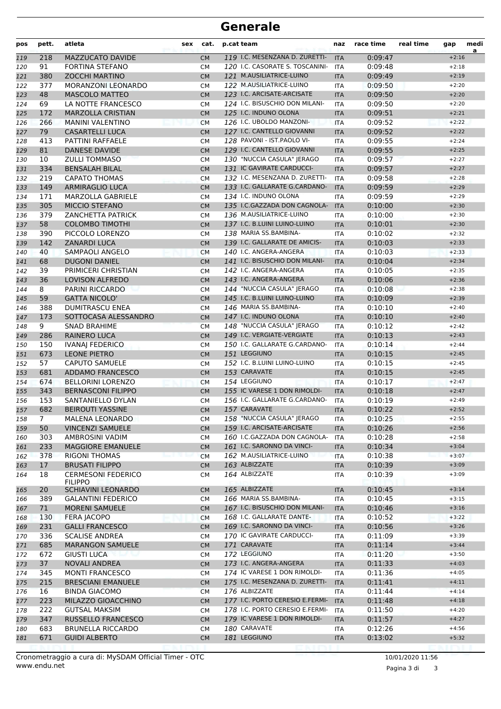| pos        | pett.          | atleta                                              | sex | cat.                   | p.cat team                                               | naz                      | race time          | real time | gap                | medi<br>a |
|------------|----------------|-----------------------------------------------------|-----|------------------------|----------------------------------------------------------|--------------------------|--------------------|-----------|--------------------|-----------|
| 119        | 218            | MAZZUCATO DAVIDE                                    |     | <b>CM</b>              | 119 I.C. MESENZANA D. ZURETTI-                           | <b>ITA</b>               | 0:09:47            |           | $+2:16$            |           |
| 120        | 91             | FORTINA STEFANO                                     |     | <b>CM</b>              | 120 I.C. CASORATE S. TOSCANINI-                          | <b>ITA</b>               | 0:09:48            |           | $+2:18$            |           |
| 121        | 380            | <b>ZOCCHI MARTINO</b>                               |     | <b>CM</b>              | 121 M.AUSILIATRICE-LUINO                                 | <b>ITA</b>               | 0:09:49            |           | $+2:19$            |           |
| 122        | 377            | MORANZONI LEONARDO                                  |     | <b>CM</b>              | 122 M.AUSILIATRICE-LUINO                                 | <b>ITA</b>               | 0:09:50            |           | $+2:20$            |           |
| 123        | 48             | <b>MASCOLO MATTEO</b>                               |     | <b>CM</b>              | 123 I.C. ARCISATE-ARCISATE                               | <b>ITA</b>               | 0:09:50            |           | $+2:20$            |           |
| 124        | 69             | LA NOTTE FRANCESCO                                  |     | <b>CM</b>              | 124 I.C. BISUSCHIO DON MILANI-                           | <b>ITA</b>               | 0:09:50            |           | $+2:20$            |           |
| 125        | 172            | <b>MARZOLLA CRISTIAN</b>                            |     | <b>CM</b>              | 125 I.C. INDUNO OLONA                                    | <b>ITA</b>               | 0:09:51            |           | $+2:21$            |           |
| 126        | 266            | <b>MANINI VALENTINO</b>                             |     | <b>CM</b>              | 126 I.C. UBOLDO MANZONI-                                 | <b>ITA</b>               | 0:09:52            |           | $+2:22$            |           |
| 127        | 79             | <b>CASARTELLI LUCA</b>                              |     | <b>CM</b>              | 127 I.C. CANTELLO GIOVANNI                               | <b>ITA</b>               | 0:09:52            |           | $+2:22$            |           |
| 128        | 413            | PATTINI RAFFAELE                                    |     | <b>CM</b>              | 128 PAVONI - IST.PAOLO VI-<br>129 I.C. CANTELLO GIOVANNI | <b>ITA</b>               | 0:09:55            |           | $+2:24$            |           |
| 129        | 81             | <b>DANESE DAVIDE</b><br><b>ZULLI TOMMASO</b>        |     | <b>CM</b>              | 130 "NUCCIA CASULA" JERAGO                               | <b>ITA</b>               | 0:09:55<br>0:09:57 |           | $+2:25$<br>$+2:27$ |           |
| 130        | 10<br>334      | <b>BENSALAH BILAL</b>                               |     | <b>CM</b>              | 131 IC GAVIRATE CARDUCCI-                                | <b>ITA</b>               |                    |           | $+2:27$            |           |
| 131<br>132 | 219            | <b>CAPATO THOMAS</b>                                |     | <b>CM</b><br><b>CM</b> | 132 I.C. MESENZANA D. ZURETTI-                           | <b>ITA</b><br><b>ITA</b> | 0:09:57<br>0:09:58 |           | $+2:28$            |           |
| 133        | 149            | <b>ARMIRAGLIO LUCA</b>                              |     | <b>CM</b>              | 133 I.C. GALLARATE G.CARDANO-                            | <b>ITA</b>               | 0:09:59            |           | $+2:29$            |           |
| 134        | 171            | <b>MARZOLLA GABRIELE</b>                            |     | <b>CM</b>              | 134 I.C. INDUNO OLONA                                    | <b>ITA</b>               | 0:09:59            |           | $+2:29$            |           |
| 135        | 305            | <b>MICCIO STEFANO</b>                               |     | <b>CM</b>              | 135 I.C.GAZZADA DON CAGNOLA-                             | <b>ITA</b>               | 0:10:00            |           | $+2:30$            |           |
| 136        | 379            | <b>ZANCHETTA PATRICK</b>                            |     | СM                     | 136 M.AUSILIATRICE-LUINO                                 | <b>ITA</b>               | 0:10:00            |           | $+2:30$            |           |
| 137        | 58             | <b>COLOMBO TIMOTHI</b>                              |     | <b>CM</b>              | 137 I.C. B.LUINI LUINO-LUINO                             | <b>ITA</b>               | 0:10:01            |           | $+2:30$            |           |
| 138        | 390            | PICCOLO LORENZO                                     |     | <b>CM</b>              | 138 MARIA SS.BAMBINA-                                    | <b>ITA</b>               | 0:10:02            |           | $+2:32$            |           |
| 139        | 142            | <b>ZANARDI LUCA</b>                                 |     | <b>CM</b>              | 139 I.C. GALLARATE DE AMICIS-                            | <b>ITA</b>               | 0:10:03            |           | $+2:33$            |           |
| 140        | 40             | <b>SAMPAOLI ANGELO</b>                              |     | <b>CM</b>              | 140 I.C. ANGERA-ANGERA                                   | <b>ITA</b>               | 0:10:03            |           | $+2:33$            |           |
| 141        | 68             | <b>DUGONI DANIEL</b>                                |     | <b>CM</b>              | 141 I.C. BISUSCHIO DON MILANI-                           | <b>ITA</b>               | 0:10:04            |           | $+2:34$            |           |
| 142        | 39             | PRIMICERI CHRISTIAN                                 |     | СM                     | 142 I.C. ANGERA-ANGERA                                   | <b>ITA</b>               | 0:10:05            |           | $+2:35$            |           |
| 143        | 36             | <b>LOVISON ALFREDO</b>                              |     | <b>CM</b>              | 143 I.C. ANGERA-ANGERA                                   | <b>ITA</b>               | 0:10:06            |           | $+2:36$            |           |
| 144        | 8              | PARINI RICCARDO                                     |     | <b>CM</b>              | 144 "NUCCIA CASULA" JERAGO                               | <b>ITA</b>               | 0:10:08            |           | $+2:38$            |           |
| 145        | 59             | <b>GATTA NICOLO'</b>                                |     | <b>CM</b>              | 145 I.C. B.LUINI LUINO-LUINO                             | <b>ITA</b>               | 0:10:09            |           | $+2:39$            |           |
| 146        | 388            | <b>DUMITRASCU ENEA</b>                              |     | <b>CM</b>              | 146 MARIA SS.BAMBINA-                                    | <b>ITA</b>               | 0:10:10            |           | $+2:40$            |           |
| 147        | 173            | SOTTOCASA ALESSANDRO                                |     | <b>CM</b>              | 147 I.C. INDUNO OLONA                                    | <b>ITA</b>               | 0:10:10            |           | $+2:40$            |           |
| 148        | 9              | <b>SNAD BRAHIME</b>                                 |     | <b>CM</b>              | 148 "NUCCIA CASULA" JERAGO                               | <b>ITA</b>               | 0:10:12            |           | $+2:42$            |           |
| 149        | 286            | <b>RAINERO LUCA</b>                                 |     | <b>CM</b>              | 149 I.C. VERGIATE-VERGIATE                               | <b>ITA</b>               | 0:10:13            |           | $+2:43$            |           |
| 150        | 150            | <b>IVANAJ FEDERICO</b>                              |     | <b>CM</b>              | 150 I.C. GALLARATE G.CARDANO-                            | <b>ITA</b>               | 0:10:14            |           | $+2:44$            |           |
| 151        | 673            | <b>LEONE PIETRO</b>                                 |     | <b>CM</b>              | 151 LEGGIUNO                                             | <b>ITA</b>               | 0:10:15            |           | $+2:45$            |           |
| 152        | 57             | <b>CAPUTO SAMUELE</b>                               |     | <b>CM</b>              | 152 I.C. B.LUINI LUINO-LUINO                             | <b>ITA</b>               | 0:10:15            |           | $+2:45$            |           |
| 153        | 681            | ADDAMO FRANCESCO                                    |     | <b>CM</b>              | 153 CARAVATE                                             | <b>ITA</b>               | 0:10:15            |           | $+2:45$            |           |
| 154        | 674            | <b>BELLORINI LORENZO</b>                            |     | <b>CM</b>              | 154 LEGGIUNO                                             | <b>ITA</b>               | 0:10:17            |           | $+2:47$            |           |
| 155        | 343            | <b>BERNASCONI FILIPPO</b>                           |     | <b>CM</b>              | 155 IC VARESE 1 DON RIMOLDI-                             | <b>ITA</b>               | 0:10:18            |           | $+2:47$            |           |
| 156        | 153            | SANTANIELLO DYLAN                                   |     | СM                     | 156 I.C. GALLARATE G.CARDANO-                            | <b>ITA</b>               | 0:10:19            |           | $+2:49$            |           |
| 157        | 682            | <b>BEIROUTI YASSINE</b>                             |     | <b>CM</b>              | 157 CARAVATE                                             | <b>ITA</b>               | 0:10:22            |           | $+2:52$            |           |
| 158        | $\overline{7}$ | MALENA LEONARDO                                     |     | СM                     | 158 "NUCCIA CASULA" JERAGO                               | ITA                      | 0:10:25            |           | $+2:55$            |           |
| 159        | 50             | <b>VINCENZI SAMUELE</b>                             |     | <b>CM</b>              | 159 I.C. ARCISATE-ARCISATE                               | <b>ITA</b>               | 0:10:26            |           | $+2:56$            |           |
| 160        | 303            | AMBROSINI VADIM                                     |     | СM                     | 160 I.C.GAZZADA DON CAGNOLA-                             | <b>ITA</b>               | 0:10:28            |           | $+2:58$            |           |
| 161        | 233            | MAGGIORE EMANUELE                                   |     | <b>CM</b>              | 161 I.C. SARONNO DA VINCI-                               | <b>ITA</b>               | 0:10:34            |           | $+3:04$            |           |
| 162        | 378            | RIGONI THOMAS                                       |     | <b>CM</b>              | 162 M.AUSILIATRICE-LUINO                                 | <b>ITA</b>               | 0:10:38            |           | $+3:07$            |           |
| 163        | 17<br>18       | <b>BRUSATI FILIPPO</b><br><b>CERMESONI FEDERICO</b> |     | <b>CM</b>              | 163 ALBIZZATE<br>164 ALBIZZATE                           | <b>ITA</b>               | 0:10:39            |           | $+3:09$<br>$+3:09$ |           |
| 164        |                | <b>FILIPPO</b>                                      |     | CМ                     |                                                          | ITA                      | 0:10:39            |           |                    |           |
| 165        | 20             | <b>SCHIAVINI LEONARDO</b>                           |     | CM                     | 165 ALBIZZATE                                            | <b>ITA</b>               | 0:10:45            |           | $+3:14$            |           |
| 166        | 389            | <b>GALANTINI FEDERICO</b>                           |     | СM                     | 166 MARIA SS.BAMBINA-                                    | ITA                      | 0:10:45            |           | $+3:15$            |           |
| 167        | 71             | <b>MORENI SAMUELE</b>                               |     | <b>CM</b>              | 167 I.C. BISUSCHIO DON MILANI-                           | <b>ITA</b>               | 0:10:46            |           | $+3:16$            |           |
| 168        | 130            | <b>FERA JACOPO</b>                                  |     | CМ                     | 168 I.C. GALLARATE DANTE-                                | <b>ITA</b>               | 0:10:52            |           | $+3:22$            |           |
| 169        | 231            | <b>GALLI FRANCESCO</b>                              |     | <b>CM</b>              | 169 I.C. SARONNO DA VINCI-                               | <b>ITA</b>               | 0:10:56            |           | $+3:26$            |           |
| 170        | 336            | <b>SCALISE ANDREA</b>                               |     | CМ                     | 170 IC GAVIRATE CARDUCCI-                                | ITA                      | 0:11:09            |           | $+3:39$            |           |
| 171        | 685            | <b>MARANGON SAMUELE</b>                             |     | CM                     | 171 CARAVATE                                             | <b>ITA</b>               | 0:11:14            |           | $+3:44$            |           |
| 172        | 672            | <b>GIUSTI LUCA</b>                                  |     | СM                     | 172 LEGGIUNO                                             | ITA                      | 0:11:20            |           | $+3:50$            |           |
| 173        | 37             | <b>NOVALI ANDREA</b>                                |     | <b>CM</b>              | 173 I.C. ANGERA-ANGERA                                   | <b>ITA</b>               | 0:11:33            |           | $+4:03$            |           |
| 174        | 345            | <b>MONTI FRANCESCO</b>                              |     | СM                     | 174 IC VARESE 1 DON RIMOLDI-                             | ITA                      | 0:11:36            |           | $+4:05$            |           |
| 175        | 215            | <b>BRESCIANI EMANUELE</b>                           |     | <b>CM</b>              | 175 I.C. MESENZANA D. ZURETTI-                           | <b>ITA</b>               | 0:11:41            |           | $+4:11$            |           |
| 176        | 16             | <b>BINDA GIACOMO</b>                                |     | CM                     | 176 ALBIZZATE                                            | ITA                      | 0:11:44            |           | $+4:14$            |           |
| 177        | 223            | MILAZZO GIOACCHINO                                  |     | CM                     | 177 I.C. PORTO CERESIO E.FERMI-                          | <b>ITA</b>               | 0:11:48            |           | $+4:18$            |           |
| 178        | 222            | <b>GUTSAL MAKSIM</b>                                |     | <b>CM</b>              | 178 I.C. PORTO CERESIO E.FERMI-                          | ITA                      | 0:11:50            |           | $+4:20$            |           |
| 179        | 347            | RUSSELLO FRANCESCO                                  |     | <b>CM</b>              | 179 IC VARESE 1 DON RIMOLDI-                             | <b>ITA</b>               | 0:11:57            |           | $+4:27$            |           |
| 180        | 683            | <b>BRUNELLA RICCARDO</b>                            |     | CМ                     | 180 CARAVATE                                             | <b>ITA</b>               | 0:12:26            |           | $+4:56$            |           |
| 181        | 671            | <b>GUIDI ALBERTO</b>                                |     | <b>CM</b>              | 181 LEGGIUNO                                             | <b>ITA</b>               | 0:13:02            |           | $+5:32$            |           |

10/01/2020 11:56